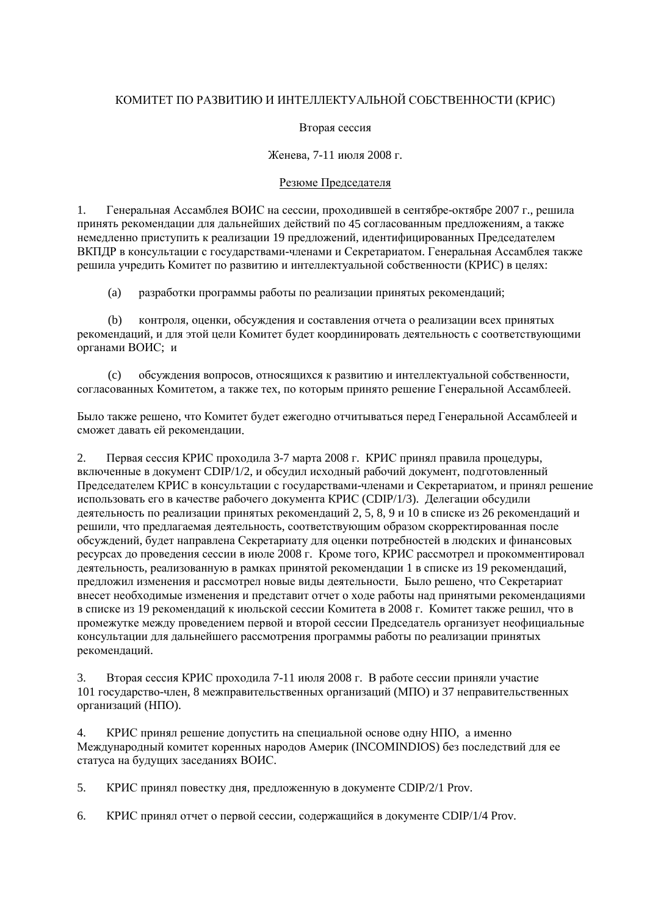### КОМИТЕТ ПО РАЗВИТИЮ И ИНТЕЛЛЕКТУАЛЬНОЙ СОБСТВЕННОСТИ (КРИС)

Вторая сессия

Женева, 7-11 июля 2008 г.

#### Резюме Председателя

Генеральная Ассамблея ВОИС на сессии, проходившей в сентябре-октябре 2007 г., решила  $1<sub>1</sub>$ принять рекомендации для дальнейших действий по 45 согласованным предложениям, а также немедленно приступить к реализации 19 предложений, идентифицированных Председателем ВКПДР в консультации с государствами-членами и Секретариатом. Генеральная Ассамблея также решила учредить Комитет по развитию и интеллектуальной собственности (КРИС) в целях:

разработки программы работы по реализации принятых рекомендаций;  $(a)$ 

контроля, оценки, обсуждения и составления отчета о реализации всех принятых  $(h)$ рекомендаций, и для этой цели Комитет будет координировать деятельность с соответствующими органами ВОИС; и

обсуждения вопросов, относящихся к развитию и интеллектуальной собственности,  $(c)$ согласованных Комитетом, а также тех, по которым принято решение Генеральной Ассамблеей.

Было также решено, что Комитет будет ежегодно отчитываться перед Генеральной Ассамблеей и сможет давать ей рекомендации.

Первая сессия КРИС проходила 3-7 марта 2008 г. КРИС принял правила процедуры,  $2.$ включенные в документ CDIP/1/2, и обсудил исходный рабочий документ, подготовленный Председателем КРИС в консультации с государствами-членами и Секретариатом, и принял решение использовать его в качестве рабочего документа КРИС (CDIP/1/3). Делегации обсудили леятельность по реализации принятых рекоменлаций 2, 5, 8, 9 и 10 в списке из 26 рекоменлаций и решили, что предлагаемая деятельность, соответствующим образом скорректированная после обсуждений, будет направлена Секретариату для оценки потребностей в людских и финансовых ресурсах до проведения сессии в июле 2008 г. Кроме того, КРИС рассмотрел и прокомментировал деятельность, реализованную в рамках принятой рекомендации 1 в списке из 19 рекомендаций, предложил изменения и рассмотрел новые виды деятельности. Было решено, что Секретариат внесет необходимые изменения и представит отчет о ходе работы над принятыми рекомендациями в списке из 19 рекомендаций к июльской сессии Комитета в 2008 г. Комитет также решил, что в промежутке между проведением первой и второй сессии Председатель организует неофициальные консультации для дальнейшего рассмотрения программы работы по реализации принятых рекомендаций.

 $\overline{3}$ . Вторая сессия КРИС проходила 7-11 июля 2008 г. В работе сессии приняли участие 101 государство-член, 8 межправительственных организаций (МПО) и 37 неправительственных организаций (НПО).

КРИС принял решение допустить на специальной основе одну НПО, а именно  $\overline{4}$ . Международный комитет коренных народов Америк (INCOMINDIOS) без последствий для ее статуса на будущих заседаниях ВОИС.

 $5<sub>1</sub>$ КРИС принял повестку дня, предложенную в документе CDIP/2/1 Prov.

6. КРИС принял отчет о первой сессии, содержащийся в документе CDIP/1/4 Prov.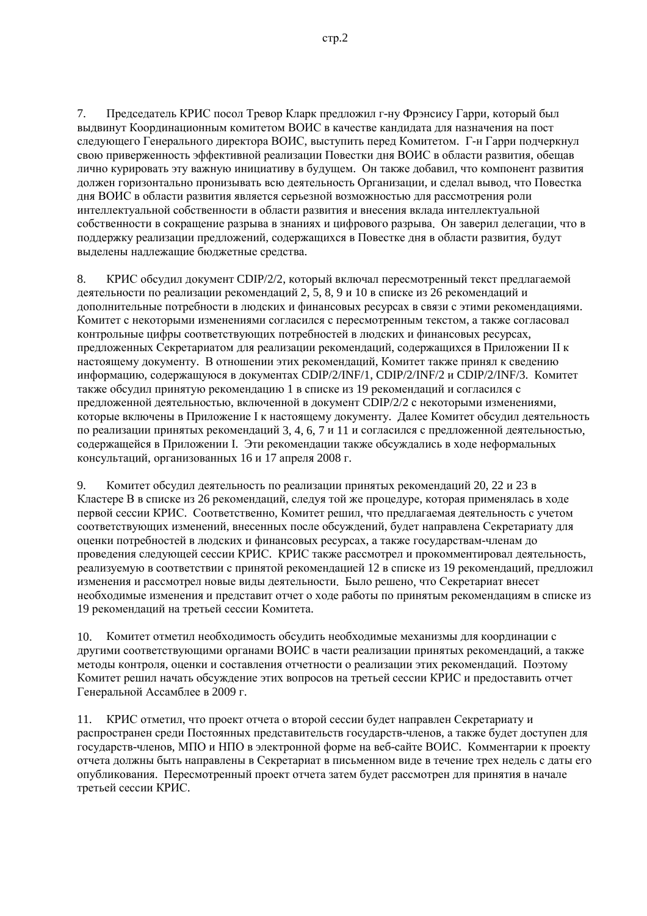Председатель КРИС посол Тревор Кларк предложил г-ну Фрэнсису Гарри, который был  $7<sub>1</sub>$ выдвинут Координационным комитетом ВОИС в качестве кандидата для назначения на пост следующего Генерального директора ВОИС, выступить перед Комитетом. Г-н Гарри подчеркнул свою приверженность эффективной реализации Повестки дня ВОИС в области развития, обещав лично курировать эту важную инициативу в будущем. Он также добавил, что компонент развития должен горизонтально пронизывать всю деятельность Организации, и сделал вывод, что Повестка дня ВОИС в области развития является серьезной возможностью для рассмотрения роли интеллектуальной собственности в области развития и внесения вклада интеллектуальной собственности в сокращение разрыва в знаниях и цифрового разрыва. Он заверил делегации, что в поддержку реализации предложений, содержащихся в Повестке дня в области развития, будут выделены надлежащие бюджетные средства.

8. КРИС обсудил документ CDIP/2/2, который включал пересмотренный текст предлагаемой леятельности по реализации рекоменлаций 2, 5, 8, 9 и 10 в списке из 26 рекоменлаций и дополнительные потребности в людских и финансовых ресурсах в связи с этими рекомендациями. Комитет с некоторыми изменениями согласился с пересмотренным текстом, а также согласовал контрольные цифры соответствующих потребностей в людских и финансовых ресурсах, предложенных Секретариатом для реализации рекомендаций, содержащихся в Приложении II к настоящему документу. В отношении этих рекомендаций, Комитет также принял к сведению информацию, содержащуюся в документах CDIP/2/INF/1, CDIP/2/INF/2 и CDIP/2/INF/3. Комитет также обсудил принятую рекомендацию 1 в списке из 19 рекомендаций и согласился с предложенной деятельностью, включенной в документ CDIP/2/2 с некоторыми изменениями. которые включены в Приложение I к настоящему документу. Далее Комитет обсудил деятельность по реализации принятых рекомендаций 3, 4, 6, 7 и 11 и согласился с предложенной деятельностью. содержащейся в Приложении I. Эти рекомендации также обсуждались в ходе неформальных консультаций, организованных 16 и 17 апреля 2008 г.

 $9<sub>1</sub>$ Комитет обсудил деятельность по реализации принятых рекомендаций 20, 22 и 23 в Кластере В в списке из 26 рекомендаций, следуя той же процедуре, которая применялась в ходе первой сессии КРИС. Соответственно, Комитет решил, что предлагаемая деятельность с учетом соответствующих изменений, внесенных после обсуждений, будет направлена Секретариату для оценки потребностей в людских и финансовых ресурсах, а также государствам-членам до проведения следующей сессии КРИС. КРИС также рассмотрел и прокомментировал деятельность, реализуемую в соответствии с принятой рекомендацией 12 в списке из 19 рекомендаций, предложил изменения и рассмотрел новые виды деятельности. Было решено, что Секретариат внесет необходимые изменения и представит отчет о ходе работы по принятым рекомендациям в списке из 19 рекомендаций на третьей сессии Комитета.

10. Комитет отметил необходимость обсудить необходимые механизмы для координации с лругими соответствующими органами ВОИС в части реализации принятых рекомендаций, а также методы контроля, оценки и составления отчетности о реализации этих рекомендаций. Поэтому Комитет решил начать обсуждение этих вопросов на третьей сессии КРИС и предоставить отчет Генеральной Ассамблее в 2009 г.

11. КРИС отметил, что проект отчета о второй сессии будет направлен Секретариату и распространен среди Постоянных представительств государств-членов, а также будет доступен для государств-членов, МПО и НПО в электронной форме на веб-сайте ВОИС. Комментарии к проекту отчета должны быть направлены в Секретариат в письменном виде в течение трех недель с даты его опубликования. Пересмотренный проект отчета затем будет рассмотрен для принятия в начале третьей сессии КРИС.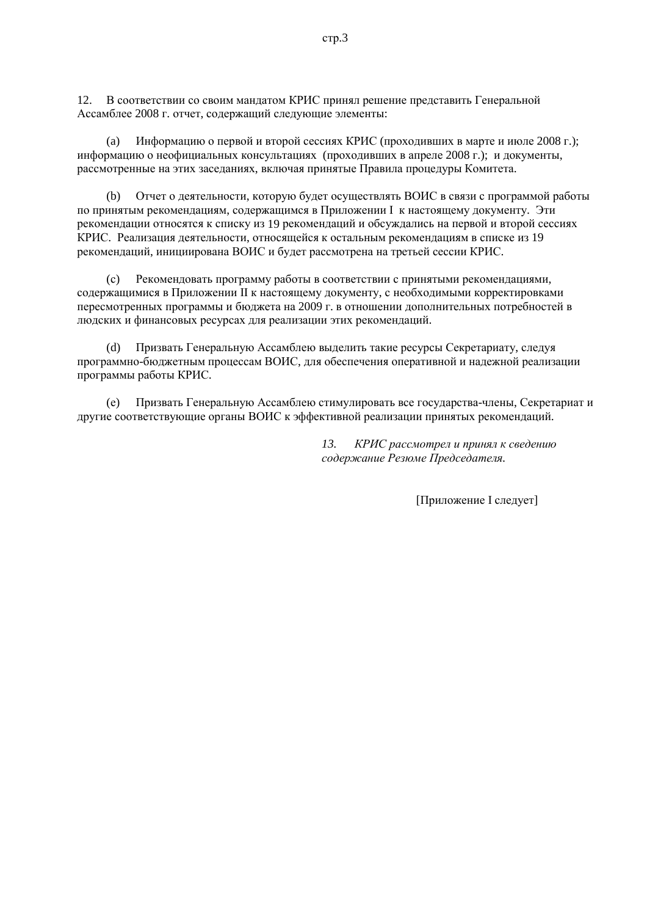$12.$ В соответствии со своим мандатом КРИС принял решение представить Генеральной Ассамблее 2008 г. отчет, содержащий следующие элементы:

Информацию о первой и второй сессиях КРИС (проходивших в марте и июле 2008 г.); (a) информацию о неофициальных консультациях (проходивших в апреле 2008 г.); и документы, рассмотренные на этих заседаниях, включая принятые Правила процедуры Комитета.

Отчет о деятельности, которую будет осуществлять ВОИС в связи с программой работы  $(b)$ по принятым рекомендациям, содержащимся в Приложении I к настоящему документу. Эти рекомендации относятся к списку из 19 рекомендаций и обсуждались на первой и второй сессиях КРИС. Реализация деятельности, относящейся к остальным рекомендациям в списке из 19 рекомендаций, инициирована ВОИС и будет рассмотрена на третьей сессии КРИС.

Рекомендовать программу работы в соответствии с принятыми рекомендациями,  $(c)$ содержащимися в Приложении II к настоящему документу, с необходимыми корректировками пересмотренных программы и бюджета на 2009 г. в отношении дополнительных потребностей в людских и финансовых ресурсах для реализации этих рекомендаций.

Призвать Генеральную Ассамблею выделить такие ресурсы Секретариату, следуя  $(d)$ программно-бюджетным процессам ВОИС, для обеспечения оперативной и надежной реализации программы работы КРИС.

Призвать Генеральную Ассамблею стимулировать все государства-члены. Секретариат и  $(e)$ другие соответствующие органы ВОИС к эффективной реализации принятых рекомендаций.

> 13. КРИС рассмотрел и принял к сведению содержание Резюме Председателя.

> > [Приложение I следует]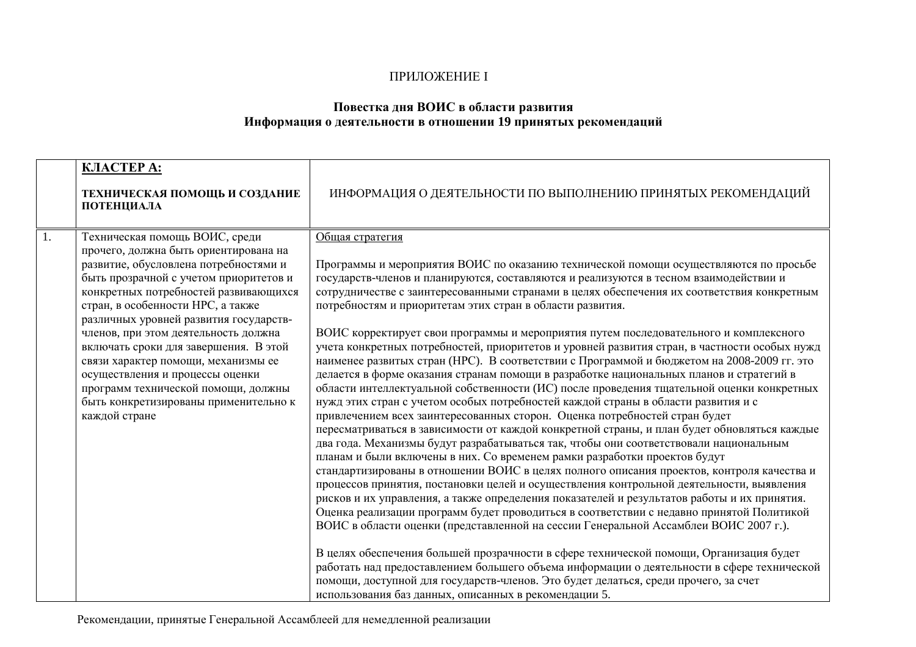### **ПРИЛОЖЕНИЕ I**

# Повестка дня ВОИС в области развития<br>Информация о деятельности в отношении 19 принятых рекомендаций

| <b>КЛАСТЕРА:</b><br>ТЕХНИЧЕСКАЯ ПОМОЩЬ И СОЗДАНИЕ<br>ПОТЕНЦИАЛА                                                                                                                                                                                                                                                                                                                                                                                                                                                                                      | ИНФОРМАЦИЯ О ДЕЯТЕЛЬНОСТИ ПО ВЫПОЛНЕНИЮ ПРИНЯТЫХ РЕКОМЕНДАЦИЙ                                                                                                                                                                                                                                                                                                                                                                                                                                                                                                                                                                                                                                                                                                                                                                                                                                                                                                                                                                                                                                                                                                                                                                                                                                                                                                                                                                                                                                                                                                                                                                                                                                                                                                                                                                                                                                                                                                                                                                                                                                           |
|------------------------------------------------------------------------------------------------------------------------------------------------------------------------------------------------------------------------------------------------------------------------------------------------------------------------------------------------------------------------------------------------------------------------------------------------------------------------------------------------------------------------------------------------------|---------------------------------------------------------------------------------------------------------------------------------------------------------------------------------------------------------------------------------------------------------------------------------------------------------------------------------------------------------------------------------------------------------------------------------------------------------------------------------------------------------------------------------------------------------------------------------------------------------------------------------------------------------------------------------------------------------------------------------------------------------------------------------------------------------------------------------------------------------------------------------------------------------------------------------------------------------------------------------------------------------------------------------------------------------------------------------------------------------------------------------------------------------------------------------------------------------------------------------------------------------------------------------------------------------------------------------------------------------------------------------------------------------------------------------------------------------------------------------------------------------------------------------------------------------------------------------------------------------------------------------------------------------------------------------------------------------------------------------------------------------------------------------------------------------------------------------------------------------------------------------------------------------------------------------------------------------------------------------------------------------------------------------------------------------------------------------------------------------|
| 1.<br>Техническая помощь ВОИС, среди<br>прочего, должна быть ориентирована на<br>развитие, обусловлена потребностями и<br>быть прозрачной с учетом приоритетов и<br>конкретных потребностей развивающихся<br>стран, в особенности НРС, а также<br>различных уровней развития государств-<br>членов, при этом деятельность должна<br>включать сроки для завершения. В этой<br>связи характер помощи, механизмы ее<br>осуществления и процессы оценки<br>программ технической помощи, должны<br>быть конкретизированы применительно к<br>каждой стране | Общая стратегия<br>Программы и мероприятия ВОИС по оказанию технической помощи осуществляются по просьбе<br>государств-членов и планируются, составляются и реализуются в тесном взаимодействии и<br>сотрудничестве с заинтересованными странами в целях обеспечения их соответствия конкретным<br>потребностям и приоритетам этих стран в области развития.<br>ВОИС корректирует свои программы и мероприятия путем последовательного и комплексного<br>учета конкретных потребностей, приоритетов и уровней развития стран, в частности особых нужд<br>наименее развитых стран (НРС). В соответствии с Программой и бюджетом на 2008-2009 гг. это<br>делается в форме оказания странам помощи в разработке национальных планов и стратегий в<br>области интеллектуальной собственности (ИС) после проведения тщательной оценки конкретных<br>нужд этих стран с учетом особых потребностей каждой страны в области развития и с<br>привлечением всех заинтересованных сторон. Оценка потребностей стран будет<br>пересматриваться в зависимости от каждой конкретной страны, и план будет обновляться каждые<br>два года. Механизмы будут разрабатываться так, чтобы они соответствовали национальным<br>планам и были включены в них. Со временем рамки разработки проектов будут<br>стандартизированы в отношении ВОИС в целях полного описания проектов, контроля качества и<br>процессов принятия, постановки целей и осуществления контрольной деятельности, выявления<br>рисков и их управления, а также определения показателей и результатов работы и их принятия.<br>Оценка реализации программ будет проводиться в соответствии с недавно принятой Политикой<br>ВОИС в области оценки (представленной на сессии Генеральной Ассамблеи ВОИС 2007 г.).<br>В целях обеспечения большей прозрачности в сфере технической помощи, Организация будет<br>работать над предоставлением большего объема информации о деятельности в сфере технической<br>помощи, доступной для государств-членов. Это будет делаться, среди прочего, за счет<br>использования баз данных, описанных в рекомендации 5. |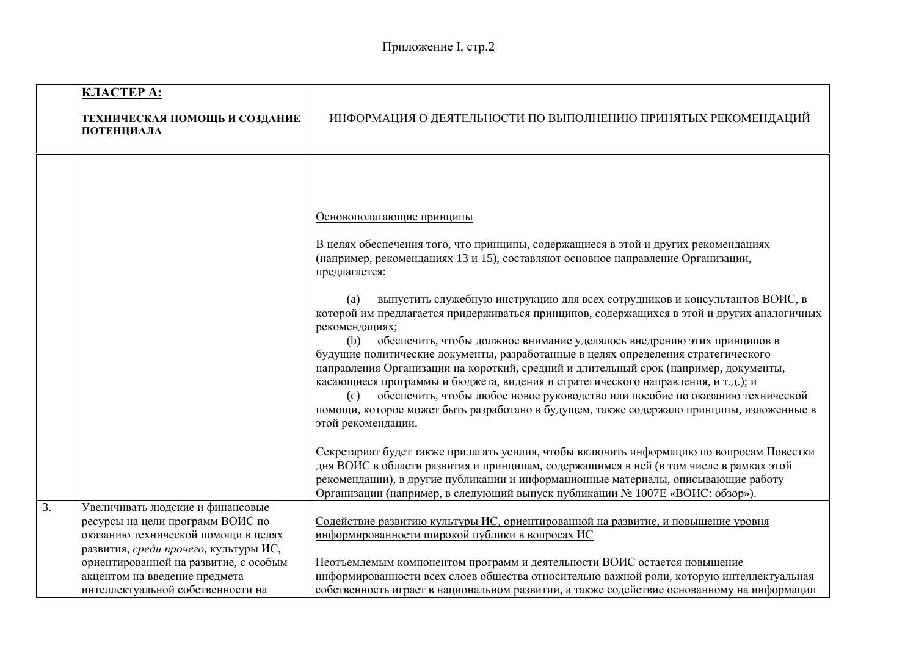|                                             | <b>KJIACTEP A:</b>                    |                                                                                                                                                                                                                                                                                                                                                                                                                                                                                                                                                                                                                                                                                                                                                                               |  |
|---------------------------------------------|---------------------------------------|-------------------------------------------------------------------------------------------------------------------------------------------------------------------------------------------------------------------------------------------------------------------------------------------------------------------------------------------------------------------------------------------------------------------------------------------------------------------------------------------------------------------------------------------------------------------------------------------------------------------------------------------------------------------------------------------------------------------------------------------------------------------------------|--|
| ТЕХНИЧЕСКАЯ ПОМОЩЬ И СОЗДАНИЕ<br>ПОТЕНЦИАЛА |                                       | ИНФОРМАЦИЯ О ДЕЯТЕЛЬНОСТИ ПО ВЫПОЛНЕНИЮ ПРИНЯТЫХ РЕКОМЕНДАЦИЙ                                                                                                                                                                                                                                                                                                                                                                                                                                                                                                                                                                                                                                                                                                                 |  |
|                                             |                                       | Основополагающие принципы<br>В целях обеспечения того, что принципы, содержащиеся в этой и других рекомендациях<br>(например, рекомендациях 13 и 15), составляют основное направление Организации,<br>предлагается:<br>выпустить служебную инструкцию для всех сотрудников и консультантов ВОИС, в<br>(a)<br>которой им предлагается придерживаться принципов, содержащихся в этой и других аналогичных<br>рекомендациях;<br>обеспечить, чтобы должное внимание уделялось внедрению этих принципов в<br>(b)<br>будущие политические документы, разработанные в целях определения стратегического<br>направления Организации на короткий, средний и длительный срок (например, документы,<br>касающиеся программы и бюджета, видения и стратегического направления, и т.д.); и |  |
|                                             |                                       | обеспечить, чтобы любое новое руководство или пособие по оказанию технической<br>(c)<br>помощи, которое может быть разработано в будущем, также содержало принципы, изложенные в<br>этой рекомендации.<br>Секретариат будет также прилагать усилия, чтобы включить информацию по вопросам Повестки<br>дня ВОИС в области развития и принципам, содержащимся в ней (в том числе в рамках этой<br>рекомендации), в другие публикации и информационные материалы, описывающие работу<br>Организации (например, в следующий выпуск публикации № 1007Е «ВОИС: обзор»).                                                                                                                                                                                                             |  |
| 3.                                          | Увеличивать людские и финансовые      |                                                                                                                                                                                                                                                                                                                                                                                                                                                                                                                                                                                                                                                                                                                                                                               |  |
|                                             | ресурсы на цели программ ВОИС по      | Содействие развитию культуры ИС, ориентированной на развитие, и повышение уровня                                                                                                                                                                                                                                                                                                                                                                                                                                                                                                                                                                                                                                                                                              |  |
|                                             | оказанию технической помощи в целях   | информированности широкой публики в вопросах ИС                                                                                                                                                                                                                                                                                                                                                                                                                                                                                                                                                                                                                                                                                                                               |  |
|                                             | развития, среди прочего, культуры ИС, |                                                                                                                                                                                                                                                                                                                                                                                                                                                                                                                                                                                                                                                                                                                                                                               |  |
|                                             | ориентированной на развитие, с особым | Неотъемлемым компонентом программ и деятельности ВОИС остается повышение                                                                                                                                                                                                                                                                                                                                                                                                                                                                                                                                                                                                                                                                                                      |  |
|                                             | акцентом на введение предмета         | информированности всех слоев общества относительно важной роли, которую интеллектуальная                                                                                                                                                                                                                                                                                                                                                                                                                                                                                                                                                                                                                                                                                      |  |
|                                             | интеллектуальной собственности на     | собственность играет в национальном развитии, а также содействие основанному на информации                                                                                                                                                                                                                                                                                                                                                                                                                                                                                                                                                                                                                                                                                    |  |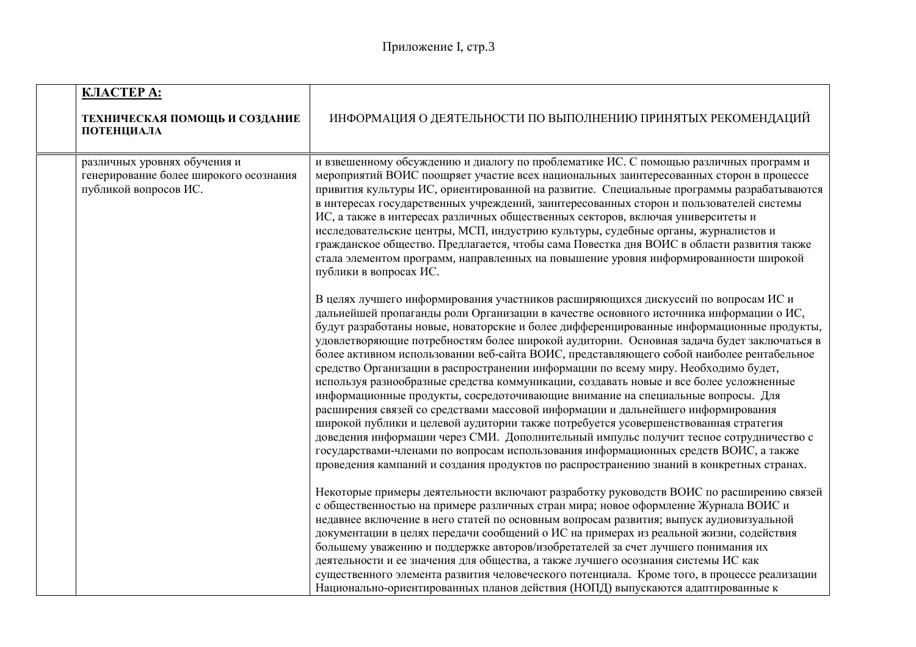| <b>KJIACTEP A:</b>                                                                              |                                                                                                                                                                                                                                                                                                                                                                                                                                                                                                                                                                                                                                                                                                                                                                                                                                                                                                                                                                                                                                                                                                                                                                                               |  |  |
|-------------------------------------------------------------------------------------------------|-----------------------------------------------------------------------------------------------------------------------------------------------------------------------------------------------------------------------------------------------------------------------------------------------------------------------------------------------------------------------------------------------------------------------------------------------------------------------------------------------------------------------------------------------------------------------------------------------------------------------------------------------------------------------------------------------------------------------------------------------------------------------------------------------------------------------------------------------------------------------------------------------------------------------------------------------------------------------------------------------------------------------------------------------------------------------------------------------------------------------------------------------------------------------------------------------|--|--|
| ТЕХНИЧЕСКАЯ ПОМОЩЬ И СОЗДАНИЕ<br>ПОТЕНЦИАЛА                                                     | ИНФОРМАЦИЯ О ДЕЯТЕЛЬНОСТИ ПО ВЫПОЛНЕНИЮ ПРИНЯТЫХ РЕКОМЕНДАЦИЙ                                                                                                                                                                                                                                                                                                                                                                                                                                                                                                                                                                                                                                                                                                                                                                                                                                                                                                                                                                                                                                                                                                                                 |  |  |
| различных уровнях обучения и<br>генерирование более широкого осознания<br>публикой вопросов ИС. | и взвешенному обсуждению и диалогу по проблематике ИС. С помощью различных программ и<br>мероприятий ВОИС поощряет участие всех национальных заинтересованных сторон в процессе<br>привития культуры ИС, ориентированной на развитие. Специальные программы разрабатываются<br>в интересах государственных учреждений, заинтересованных сторон и пользователей системы<br>ИС, а также в интересах различных общественных секторов, включая университеты и<br>исследовательские центры, МСП, индустрию культуры, судебные органы, журналистов и<br>гражданское общество. Предлагается, чтобы сама Повестка дня ВОИС в области развития также<br>стала элементом программ, направленных на повышение уровня информированности широкой<br>публики в вопросах ИС.                                                                                                                                                                                                                                                                                                                                                                                                                                 |  |  |
|                                                                                                 | В целях лучшего информирования участников расширяющихся дискуссий по вопросам ИС и<br>дальнейшей пропаганды роли Организации в качестве основного источника информации о ИС,<br>будут разработаны новые, новаторские и более дифференцированные информационные продукты,<br>удовлетворяющие потребностям более широкой аудитории. Основная задача будет заключаться в<br>более активном использовании веб-сайта ВОИС, представляющего собой наиболее рентабельное<br>средство Организации в распространении информации по всему миру. Необходимо будет,<br>используя разнообразные средства коммуникации, создавать новые и все более усложненные<br>информационные продукты, сосредоточивающие внимание на специальные вопросы. Для<br>расширения связей со средствами массовой информации и дальнейшего информирования<br>широкой публики и целевой аудитории также потребуется усовершенствованная стратегия<br>доведения информации через СМИ. Дополнительный импульс получит тесное сотрудничество с<br>государствами-членами по вопросам использования информационных средств ВОИС, а также<br>проведения кампаний и создания продуктов по распространению знаний в конкретных странах. |  |  |
|                                                                                                 | Некоторые примеры деятельности включают разработку руководств ВОИС по расширению связей<br>с общественностью на примере различных стран мира; новое оформление Журнала ВОИС и<br>недавнее включение в него статей по основным вопросам развития; выпуск аудиовизуальной<br>документации в целях передачи сообщений о ИС на примерах из реальной жизни, содействия<br>большему уважению и поддержке авторов/изобретателей за счет лучшего понимания их<br>деятельности и ее значения для общества, а также лучшего осознания системы ИС как<br>существенного элемента развития человеческого потенциала. Кроме того, в процессе реализации<br>Национально-ориентированных планов действия (НОПД) выпускаются адаптированные к                                                                                                                                                                                                                                                                                                                                                                                                                                                                  |  |  |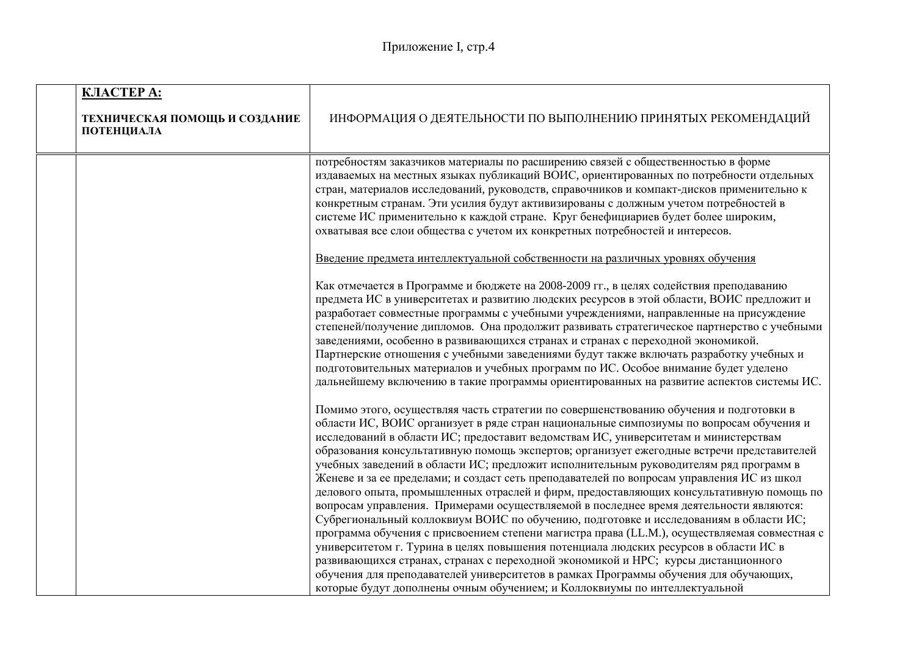|  | <b>KJIACTEP A:</b>                          |                                                                                                                                                                                                                                                                                                                                                                                                                                                                                                                                                                                                                                                                                                                                                                                                                                                                                                                                                                                                                                                                                                                                                                                                                 |  |
|--|---------------------------------------------|-----------------------------------------------------------------------------------------------------------------------------------------------------------------------------------------------------------------------------------------------------------------------------------------------------------------------------------------------------------------------------------------------------------------------------------------------------------------------------------------------------------------------------------------------------------------------------------------------------------------------------------------------------------------------------------------------------------------------------------------------------------------------------------------------------------------------------------------------------------------------------------------------------------------------------------------------------------------------------------------------------------------------------------------------------------------------------------------------------------------------------------------------------------------------------------------------------------------|--|
|  | ТЕХНИЧЕСКАЯ ПОМОЩЬ И СОЗДАНИЕ<br>ПОТЕНЦИАЛА | ИНФОРМАЦИЯ О ДЕЯТЕЛЬНОСТИ ПО ВЫПОЛНЕНИЮ ПРИНЯТЫХ РЕКОМЕНДАЦИЙ                                                                                                                                                                                                                                                                                                                                                                                                                                                                                                                                                                                                                                                                                                                                                                                                                                                                                                                                                                                                                                                                                                                                                   |  |
|  |                                             | потребностям заказчиков материалы по расширению связей с общественностью в форме<br>издаваемых на местных языках публикаций ВОИС, ориентированных по потребности отдельных<br>стран, материалов исследований, руководств, справочников и компакт-дисков применительно к<br>конкретным странам. Эти усилия будут активизированы с должным учетом потребностей в<br>системе ИС применительно к каждой стране. Круг бенефициариев будет более широким,<br>охватывая все слои общества с учетом их конкретных потребностей и интересов.                                                                                                                                                                                                                                                                                                                                                                                                                                                                                                                                                                                                                                                                             |  |
|  |                                             | Введение предмета интеллектуальной собственности на различных уровнях обучения                                                                                                                                                                                                                                                                                                                                                                                                                                                                                                                                                                                                                                                                                                                                                                                                                                                                                                                                                                                                                                                                                                                                  |  |
|  |                                             | Как отмечается в Программе и бюджете на 2008-2009 гг., в целях содействия преподаванию<br>предмета ИС в университетах и развитию людских ресурсов в этой области, ВОИС предложит и<br>разработает совместные программы с учебными учреждениями, направленные на присуждение<br>степеней/получение дипломов. Она продолжит развивать стратегическое партнерство с учебными<br>заведениями, особенно в развивающихся странах и странах с переходной экономикой.<br>Партнерские отношения с учебными заведениями будут также включать разработку учебных и<br>подготовительных материалов и учебных программ по ИС. Особое внимание будет уделено<br>дальнейшему включению в такие программы ориентированных на развитие аспектов системы ИС.                                                                                                                                                                                                                                                                                                                                                                                                                                                                      |  |
|  |                                             | Помимо этого, осуществляя часть стратегии по совершенствованию обучения и подготовки в<br>области ИС, ВОИС организует в ряде стран национальные симпозиумы по вопросам обучения и<br>исследований в области ИС; предоставит ведомствам ИС, университетам и министерствам<br>образования консультативную помощь экспертов; организует ежегодные встречи представителей<br>учебных заведений в области ИС; предложит исполнительным руководителям ряд программ в<br>Женеве и за ее пределами; и создаст сеть преподавателей по вопросам управления ИС из школ<br>делового опыта, промышленных отраслей и фирм, предоставляющих консультативную помощь по<br>вопросам управления. Примерами осуществляемой в последнее время деятельности являются:<br>Субрегиональный коллоквиум ВОИС по обучению, подготовке и исследованиям в области ИС;<br>программа обучения с присвоением степени магистра права (LL.M.), осуществляемая совместная с<br>университетом г. Турина в целях повышения потенциала людских ресурсов в области ИС в<br>развивающихся странах, странах с переходной экономикой и НРС; курсы дистанционного<br>обучения для преподавателей университетов в рамках Программы обучения для обучающих, |  |
|  |                                             | которые будут дополнены очным обучением; и Коллоквиумы по интеллектуальной                                                                                                                                                                                                                                                                                                                                                                                                                                                                                                                                                                                                                                                                                                                                                                                                                                                                                                                                                                                                                                                                                                                                      |  |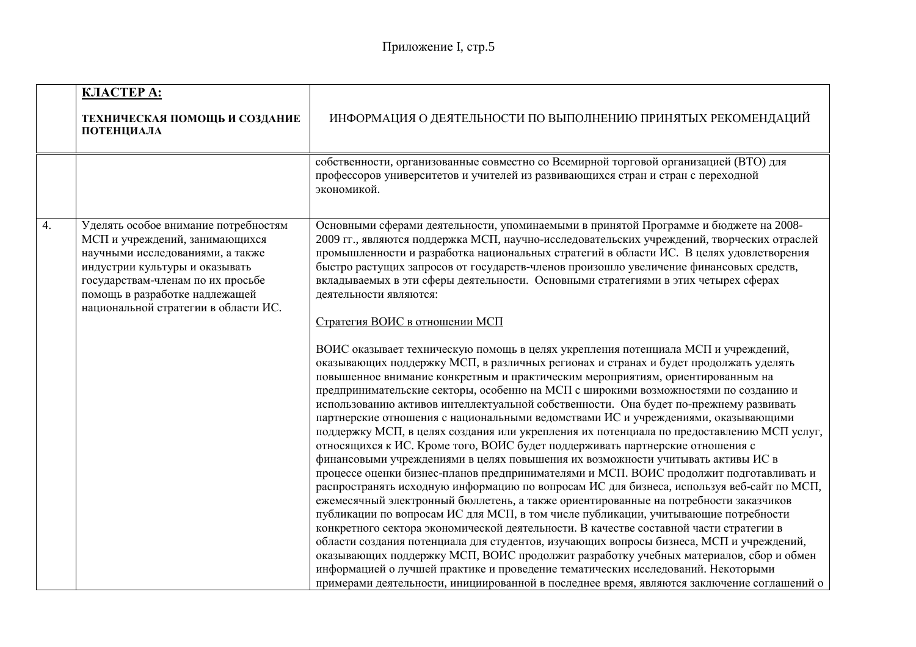|    | <b>KJIACTEP A:</b><br>ТЕХНИЧЕСКАЯ ПОМОЩЬ И СОЗДАНИЕ<br>ПОТЕНЦИАЛА                                                                                                                                                                                           | ИНФОРМАЦИЯ О ДЕЯТЕЛЬНОСТИ ПО ВЫПОЛНЕНИЮ ПРИНЯТЫХ РЕКОМЕНДАЦИЙ                                                                                                                                                                                                                                                                                                                                                                                                                                                                                                                                                                                                                                                                                                                                                                                                                                                                                                                                                                                                                                                                                                                                                                                                                                                                                                                                                                                                                                                                                                                                                                                                                                                                                                                                                                                                                                                                                                                                                                                                                                                                                                       |  |
|----|-------------------------------------------------------------------------------------------------------------------------------------------------------------------------------------------------------------------------------------------------------------|---------------------------------------------------------------------------------------------------------------------------------------------------------------------------------------------------------------------------------------------------------------------------------------------------------------------------------------------------------------------------------------------------------------------------------------------------------------------------------------------------------------------------------------------------------------------------------------------------------------------------------------------------------------------------------------------------------------------------------------------------------------------------------------------------------------------------------------------------------------------------------------------------------------------------------------------------------------------------------------------------------------------------------------------------------------------------------------------------------------------------------------------------------------------------------------------------------------------------------------------------------------------------------------------------------------------------------------------------------------------------------------------------------------------------------------------------------------------------------------------------------------------------------------------------------------------------------------------------------------------------------------------------------------------------------------------------------------------------------------------------------------------------------------------------------------------------------------------------------------------------------------------------------------------------------------------------------------------------------------------------------------------------------------------------------------------------------------------------------------------------------------------------------------------|--|
|    |                                                                                                                                                                                                                                                             | собственности, организованные совместно со Всемирной торговой организацией (ВТО) для<br>профессоров университетов и учителей из развивающихся стран и стран с переходной<br>экономикой.                                                                                                                                                                                                                                                                                                                                                                                                                                                                                                                                                                                                                                                                                                                                                                                                                                                                                                                                                                                                                                                                                                                                                                                                                                                                                                                                                                                                                                                                                                                                                                                                                                                                                                                                                                                                                                                                                                                                                                             |  |
| 4. | Уделять особое внимание потребностям<br>МСП и учреждений, занимающихся<br>научными исследованиями, а также<br>индустрии культуры и оказывать<br>государствам-членам по их просьбе<br>помощь в разработке надлежащей<br>национальной стратегии в области ИС. | Основными сферами деятельности, упоминаемыми в принятой Программе и бюджете на 2008-<br>2009 гг., являются поддержка МСП, научно-исследовательских учреждений, творческих отраслей<br>промышленности и разработка национальных стратегий в области ИС. В целях удовлетворения<br>быстро растущих запросов от государств-членов произошло увеличение финансовых средств,<br>вкладываемых в эти сферы деятельности. Основными стратегиями в этих четырех сферах<br>деятельности являются:<br>Стратегия ВОИС в отношении МСП<br>ВОИС оказывает техническую помощь в целях укрепления потенциала МСП и учреждений,<br>оказывающих поддержку МСП, в различных регионах и странах и будет продолжать уделять<br>повышенное внимание конкретным и практическим мероприятиям, ориентированным на<br>предпринимательские секторы, особенно на МСП с широкими возможностями по созданию и<br>использованию активов интеллектуальной собственности. Она будет по-прежнему развивать<br>партнерские отношения с национальными ведомствами ИС и учреждениями, оказывающими<br>поддержку МСП, в целях создания или укрепления их потенциала по предоставлению МСП услуг,<br>относящихся к ИС. Кроме того, ВОИС будет поддерживать партнерские отношения с<br>финансовыми учреждениями в целях повышения их возможности учитывать активы ИС в<br>процессе оценки бизнес-планов предпринимателями и МСП. ВОИС продолжит подготавливать и<br>распространять исходную информацию по вопросам ИС для бизнеса, используя веб-сайт по МСП,<br>ежемесячный электронный бюллетень, а также ориентированные на потребности заказчиков<br>публикации по вопросам ИС для МСП, в том числе публикации, учитывающие потребности<br>конкретного сектора экономической деятельности. В качестве составной части стратегии в<br>области создания потенциала для студентов, изучающих вопросы бизнеса, МСП и учреждений,<br>оказывающих поддержку МСП, ВОИС продолжит разработку учебных материалов, сбор и обмен<br>информацией о лучшей практике и проведение тематических исследований. Некоторыми<br>примерами деятельности, инициированной в последнее время, являются заключение соглашений о |  |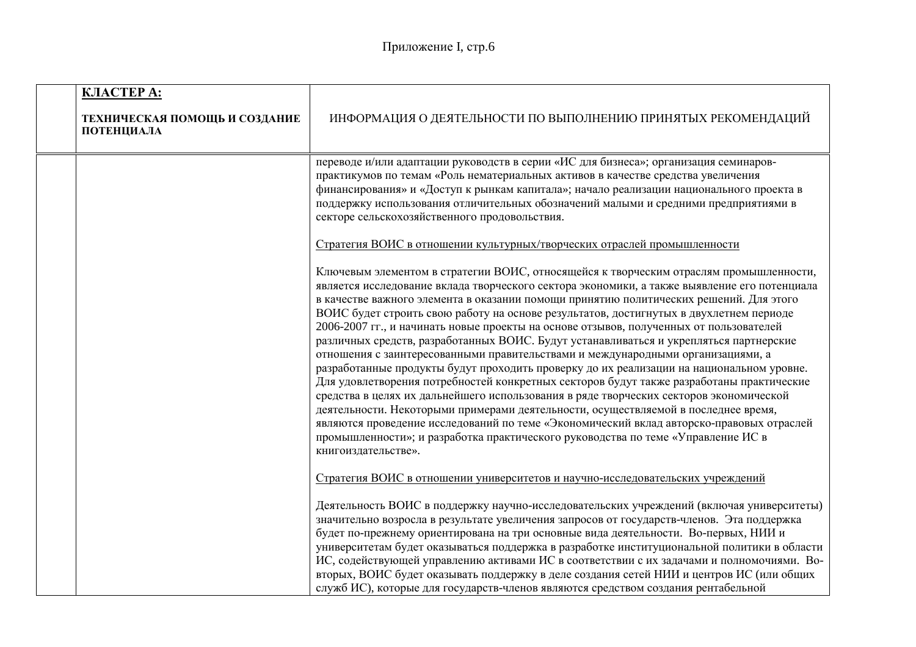| <b>KJIACTEP A:</b>                          |                                                                                                                                                                                                                                                                                                                                                                                                                                                                                                                                                                                                                                                                                                                                                                                                                                                                                                                                                                                                                                                                                                                                                                                                                                  |  |
|---------------------------------------------|----------------------------------------------------------------------------------------------------------------------------------------------------------------------------------------------------------------------------------------------------------------------------------------------------------------------------------------------------------------------------------------------------------------------------------------------------------------------------------------------------------------------------------------------------------------------------------------------------------------------------------------------------------------------------------------------------------------------------------------------------------------------------------------------------------------------------------------------------------------------------------------------------------------------------------------------------------------------------------------------------------------------------------------------------------------------------------------------------------------------------------------------------------------------------------------------------------------------------------|--|
| ТЕХНИЧЕСКАЯ ПОМОЩЬ И СОЗДАНИЕ<br>ПОТЕНЦИАЛА | ИНФОРМАЦИЯ О ДЕЯТЕЛЬНОСТИ ПО ВЫПОЛНЕНИЮ ПРИНЯТЫХ РЕКОМЕНДАЦИЙ                                                                                                                                                                                                                                                                                                                                                                                                                                                                                                                                                                                                                                                                                                                                                                                                                                                                                                                                                                                                                                                                                                                                                                    |  |
|                                             | переводе и/или адаптации руководств в серии «ИС для бизнеса»; организация семинаров-<br>практикумов по темам «Роль нематериальных активов в качестве средства увеличения<br>финансирования» и «Доступ к рынкам капитала»; начало реализации национального проекта в<br>поддержку использования отличительных обозначений малыми и средними предприятиями в<br>секторе сельскохозяйственного продовольствия.<br>Стратегия ВОИС в отношении культурных/творческих отраслей промышленности                                                                                                                                                                                                                                                                                                                                                                                                                                                                                                                                                                                                                                                                                                                                          |  |
|                                             | Ключевым элементом в стратегии ВОИС, относящейся к творческим отраслям промышленности,<br>является исследование вклада творческого сектора экономики, а также выявление его потенциала<br>в качестве важного элемента в оказании помощи принятию политических решений. Для этого<br>ВОИС будет строить свою работу на основе результатов, достигнутых в двухлетнем периоде<br>2006-2007 гг., и начинать новые проекты на основе отзывов, полученных от пользователей<br>различных средств, разработанных ВОИС. Будут устанавливаться и укрепляться партнерские<br>отношения с заинтересованными правительствами и международными организациями, а<br>разработанные продукты будут проходить проверку до их реализации на национальном уровне.<br>Для удовлетворения потребностей конкретных секторов будут также разработаны практические<br>средства в целях их дальнейшего использования в ряде творческих секторов экономической<br>деятельности. Некоторыми примерами деятельности, осуществляемой в последнее время,<br>являются проведение исследований по теме «Экономический вклад авторско-правовых отраслей<br>промышленности»; и разработка практического руководства по теме «Управление ИС в<br>книгоиздательстве». |  |
|                                             | Стратегия ВОИС в отношении университетов и научно-исследовательских учреждений<br>Деятельность ВОИС в поддержку научно-исследовательских учреждений (включая университеты)<br>значительно возросла в результате увеличения запросов от государств-членов. Эта поддержка<br>будет по-прежнему ориентирована на три основные вида деятельности. Во-первых, НИИ и<br>университетам будет оказываться поддержка в разработке институциональной политики в области<br>ИС, содействующей управлению активами ИС в соответствии с их задачами и полномочиями. Во-<br>вторых, ВОИС будет оказывать поддержку в деле создания сетей НИИ и центров ИС (или общих<br>служб ИС), которые для государств-членов являются средством создания рентабельной                                                                                                                                                                                                                                                                                                                                                                                                                                                                                      |  |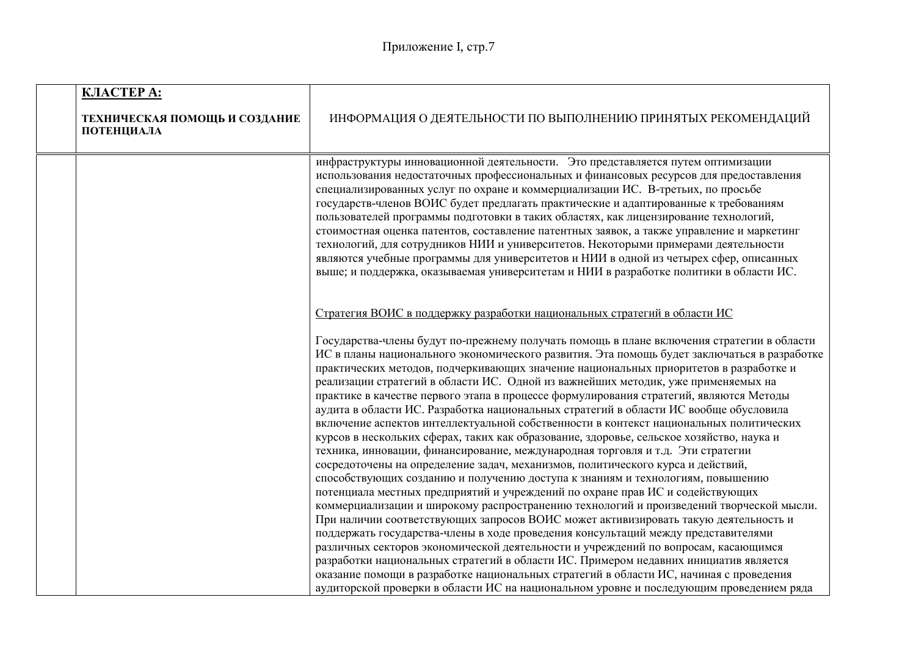|  | <b>KJIACTEP A:</b><br>ТЕХНИЧЕСКАЯ ПОМОЩЬ И СОЗДАНИЕ<br>ПОТЕНЦИАЛА | ИНФОРМАЦИЯ О ДЕЯТЕЛЬНОСТИ ПО ВЫПОЛНЕНИЮ ПРИНЯТЫХ РЕКОМЕНДАЦИЙ                                                                                                                                                                                                                                                                                                                                                                                                                                                                                                                                                                                                                                                                                                                                                                                                                                                                                                                   |  |
|--|-------------------------------------------------------------------|---------------------------------------------------------------------------------------------------------------------------------------------------------------------------------------------------------------------------------------------------------------------------------------------------------------------------------------------------------------------------------------------------------------------------------------------------------------------------------------------------------------------------------------------------------------------------------------------------------------------------------------------------------------------------------------------------------------------------------------------------------------------------------------------------------------------------------------------------------------------------------------------------------------------------------------------------------------------------------|--|
|  |                                                                   | инфраструктуры инновационной деятельности. Это представляется путем оптимизации<br>использования недостаточных профессиональных и финансовых ресурсов для предоставления<br>специализированных услуг по охране и коммерциализации ИС. В-третьих, по просьбе<br>государств-членов ВОИС будет предлагать практические и адаптированные к требованиям<br>пользователей программы подготовки в таких областях, как лицензирование технологий,<br>стоимостная оценка патентов, составление патентных заявок, а также управление и маркетинг<br>технологий, для сотрудников НИИ и университетов. Некоторыми примерами деятельности<br>являются учебные программы для университетов и НИИ в одной из четырех сфер, описанных<br>выше; и поддержка, оказываемая университетам и НИИ в разработке политики в области ИС.                                                                                                                                                                 |  |
|  |                                                                   | Стратегия ВОИС в поддержку разработки национальных стратегий в области ИС<br>Государства-члены будут по-прежнему получать помощь в плане включения стратегии в области<br>ИС в планы национального экономического развития. Эта помощь будет заключаться в разработке<br>практических методов, подчеркивающих значение национальных приоритетов в разработке и<br>реализации стратегий в области ИС. Одной из важнейших методик, уже применяемых на<br>практике в качестве первого этапа в процессе формулирования стратегий, являются Методы<br>аудита в области ИС. Разработка национальных стратегий в области ИС вообще обусловила<br>включение аспектов интеллектуальной собственности в контекст национальных политических<br>курсов в нескольких сферах, таких как образование, здоровье, сельское хозяйство, наука и                                                                                                                                                    |  |
|  |                                                                   | техника, инновации, финансирование, международная торговля и т.д. Эти стратегии<br>сосредоточены на определение задач, механизмов, политического курса и действий,<br>способствующих созданию и получению доступа к знаниям и технологиям, повышению<br>потенциала местных предприятий и учреждений по охране прав ИС и содействующих<br>коммерциализации и широкому распространению технологий и произведений творческой мысли.<br>При наличии соответствующих запросов ВОИС может активизировать такую деятельность и<br>поддержать государства-члены в ходе проведения консультаций между представителями<br>различных секторов экономической деятельности и учреждений по вопросам, касающимся<br>разработки национальных стратегий в области ИС. Примером недавних инициатив является<br>оказание помощи в разработке национальных стратегий в области ИС, начиная с проведения<br>аудиторской проверки в области ИС на национальном уровне и последующим проведением ряда |  |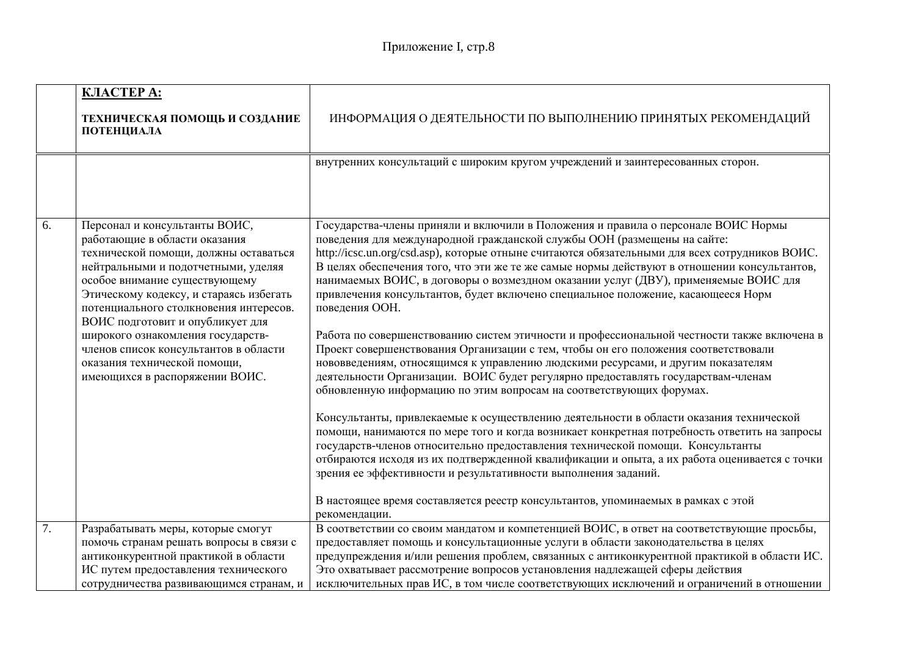|                                                                                                                                              | <b>KJIACTEP A:</b>                                                                                                                                                                                                                                                                                       |                                                                                                                                                                                                                                                                                                                                                                                                                                                                                                                                                            |  |
|----------------------------------------------------------------------------------------------------------------------------------------------|----------------------------------------------------------------------------------------------------------------------------------------------------------------------------------------------------------------------------------------------------------------------------------------------------------|------------------------------------------------------------------------------------------------------------------------------------------------------------------------------------------------------------------------------------------------------------------------------------------------------------------------------------------------------------------------------------------------------------------------------------------------------------------------------------------------------------------------------------------------------------|--|
|                                                                                                                                              | ТЕХНИЧЕСКАЯ ПОМОЩЬ И СОЗДАНИЕ<br>ПОТЕНЦИАЛА                                                                                                                                                                                                                                                              | ИНФОРМАЦИЯ О ДЕЯТЕЛЬНОСТИ ПО ВЫПОЛНЕНИЮ ПРИНЯТЫХ РЕКОМЕНДАЦИЙ                                                                                                                                                                                                                                                                                                                                                                                                                                                                                              |  |
|                                                                                                                                              |                                                                                                                                                                                                                                                                                                          | внутренних консультаций с широким кругом учреждений и заинтересованных сторон.                                                                                                                                                                                                                                                                                                                                                                                                                                                                             |  |
|                                                                                                                                              |                                                                                                                                                                                                                                                                                                          |                                                                                                                                                                                                                                                                                                                                                                                                                                                                                                                                                            |  |
| 6.                                                                                                                                           | Персонал и консультанты ВОИС,<br>работающие в области оказания<br>технической помощи, должны оставаться<br>нейтральными и подотчетными, уделяя<br>особое внимание существующему<br>Этическому кодексу, и стараясь избегать<br>потенциального столкновения интересов.<br>ВОИС подготовит и опубликует для | Государства-члены приняли и включили в Положения и правила о персонале ВОИС Нормы<br>поведения для международной гражданской службы ООН (размещены на сайте:<br>http://icsc.un.org/csd.asp), которые отныне считаются обязательными для всех сотрудников ВОИС.<br>В целях обеспечения того, что эти же те же самые нормы действуют в отношении консультантов,<br>нанимаемых ВОИС, в договоры о возмездном оказании услуг (ДВУ), применяемые ВОИС для<br>привлечения консультантов, будет включено специальное положение, касающееся Норм<br>поведения ООН. |  |
| широкого ознакомления государств-<br>членов список консультантов в области<br>оказания технической помощи,<br>имеющихся в распоряжении ВОИС. |                                                                                                                                                                                                                                                                                                          | Работа по совершенствованию систем этичности и профессиональной честности также включена в<br>Проект совершенствования Организации с тем, чтобы он его положения соответствовали<br>нововведениям, относящимся к управлению людскими ресурсами, и другим показателям<br>деятельности Организации. ВОИС будет регулярно предоставлять государствам-членам<br>обновленную информацию по этим вопросам на соответствующих форумах.                                                                                                                            |  |
|                                                                                                                                              |                                                                                                                                                                                                                                                                                                          | Консультанты, привлекаемые к осуществлению деятельности в области оказания технической<br>помощи, нанимаются по мере того и когда возникает конкретная потребность ответить на запросы<br>государств-членов относительно предоставления технической помощи. Консультанты<br>отбираются исходя из их подтвержденной квалификации и опыта, а их работа оценивается с точки<br>зрения ее эффективности и результативности выполнения заданий.                                                                                                                 |  |
|                                                                                                                                              |                                                                                                                                                                                                                                                                                                          | В настоящее время составляется реестр консультантов, упоминаемых в рамках с этой<br>рекомендации.                                                                                                                                                                                                                                                                                                                                                                                                                                                          |  |
| 7.                                                                                                                                           | Разрабатывать меры, которые смогут<br>помочь странам решать вопросы в связи с<br>антиконкурентной практикой в области<br>ИС путем предоставления технического                                                                                                                                            | В соответствии со своим мандатом и компетенцией ВОИС, в ответ на соответствующие просьбы,<br>предоставляет помощь и консультационные услуги в области законодательства в целях<br>предупреждения и/или решения проблем, связанных с антиконкурентной практикой в области ИС.<br>Это охватывает рассмотрение вопросов установления надлежащей сферы действия                                                                                                                                                                                                |  |
|                                                                                                                                              | сотрудничества развивающимся странам, и                                                                                                                                                                                                                                                                  | исключительных прав ИС, в том числе соответствующих исключений и ограничений в отношении                                                                                                                                                                                                                                                                                                                                                                                                                                                                   |  |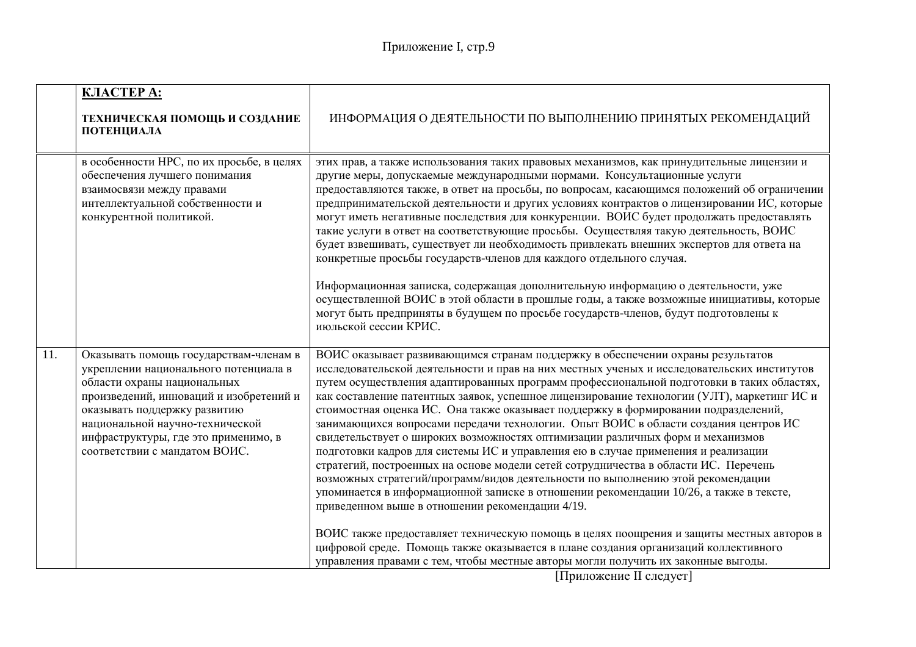|     | <b>KJIACTEP A:</b><br>ТЕХНИЧЕСКАЯ ПОМОЩЬ И СОЗДАНИЕ<br>ПОТЕНЦИАЛА                                                                                                                                                                                                                                     | ИНФОРМАЦИЯ О ДЕЯТЕЛЬНОСТИ ПО ВЫПОЛНЕНИЮ ПРИНЯТЫХ РЕКОМЕНДАЦИЙ                                                                                                                                                                                                                                                                                                                                                                                                                                                                                                                                                                                                                                                                                                                                                                                                                                                                                                                                                                                                                                                                                                                                                                                                                                                               |  |
|-----|-------------------------------------------------------------------------------------------------------------------------------------------------------------------------------------------------------------------------------------------------------------------------------------------------------|-----------------------------------------------------------------------------------------------------------------------------------------------------------------------------------------------------------------------------------------------------------------------------------------------------------------------------------------------------------------------------------------------------------------------------------------------------------------------------------------------------------------------------------------------------------------------------------------------------------------------------------------------------------------------------------------------------------------------------------------------------------------------------------------------------------------------------------------------------------------------------------------------------------------------------------------------------------------------------------------------------------------------------------------------------------------------------------------------------------------------------------------------------------------------------------------------------------------------------------------------------------------------------------------------------------------------------|--|
|     | в особенности НРС, по их просьбе, в целях<br>обеспечения лучшего понимания<br>взаимосвязи между правами<br>интеллектуальной собственности и<br>конкурентной политикой.                                                                                                                                | этих прав, а также использования таких правовых механизмов, как принудительные лицензии и<br>другие меры, допускаемые международными нормами. Консультационные услуги<br>предоставляются также, в ответ на просьбы, по вопросам, касающимся положений об ограничении<br>предпринимательской деятельности и других условиях контрактов о лицензировании ИС, которые<br>могут иметь негативные последствия для конкуренции. ВОИС будет продолжать предоставлять<br>такие услуги в ответ на соответствующие просьбы. Осуществляя такую деятельность, ВОИС<br>будет взвешивать, существует ли необходимость привлекать внешних экспертов для ответа на<br>конкретные просьбы государств-членов для каждого отдельного случая.<br>Информационная записка, содержащая дополнительную информацию о деятельности, уже<br>осуществленной ВОИС в этой области в прошлые годы, а также возможные инициативы, которые<br>могут быть предприняты в будущем по просьбе государств-членов, будут подготовлены к<br>июльской сессии КРИС.                                                                                                                                                                                                                                                                                                   |  |
| 11. | Оказывать помощь государствам-членам в<br>укреплении национального потенциала в<br>области охраны национальных<br>произведений, инноваций и изобретений и<br>оказывать поддержку развитию<br>национальной научно-технической<br>инфраструктуры, где это применимо, в<br>соответствии с мандатом ВОИС. | ВОИС оказывает развивающимся странам поддержку в обеспечении охраны результатов<br>исследовательской деятельности и прав на них местных ученых и исследовательских институтов<br>путем осуществления адаптированных программ профессиональной подготовки в таких областях,<br>как составление патентных заявок, успешное лицензирование технологии (УЛТ), маркетинг ИС и<br>стоимостная оценка ИС. Она также оказывает поддержку в формировании подразделений,<br>занимающихся вопросами передачи технологии. Опыт ВОИС в области создания центров ИС<br>свидетельствует о широких возможностях оптимизации различных форм и механизмов<br>подготовки кадров для системы ИС и управления ею в случае применения и реализации<br>стратегий, построенных на основе модели сетей сотрудничества в области ИС. Перечень<br>возможных стратегий/программ/видов деятельности по выполнению этой рекомендации<br>упоминается в информационной записке в отношении рекомендации 10/26, а также в тексте,<br>приведенном выше в отношении рекомендации 4/19.<br>ВОИС также предоставляет техническую помощь в целях поощрения и защиты местных авторов в<br>цифровой среде. Помощь также оказывается в плане создания организаций коллективного<br>управления правами с тем, чтобы местные авторы могли получить их законные выгоды. |  |

[Приложение II следует]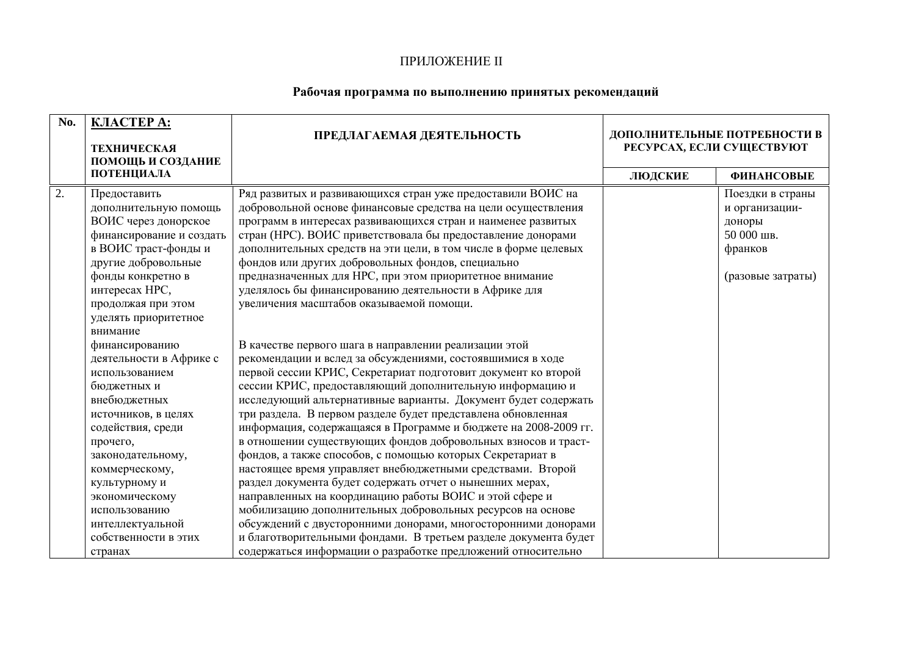### ПРИЛОЖЕНИЕ II

### Рабочая программа по выполнению принятых рекомендаций

| No. | <b>KJIACTEP A:</b><br><b>ТЕХНИЧЕСКАЯ</b><br>ПОМОЩЬ И СОЗДАНИЕ                                                                                                                                                                                                                             | ПРЕДЛАГАЕМАЯ ДЕЯТЕЛЬНОСТЬ                                                                                                                                                                                                                                                                                                                                                                                                                                                                                                                                                                                                                                                                                                                                                                                                                                                                                                                                                                                                                | ДОПОЛНИТЕЛЬНЫЕ ПОТРЕБНОСТИ В<br>РЕСУРСАХ, ЕСЛИ СУЩЕСТВУЮТ |                                                                       |
|-----|-------------------------------------------------------------------------------------------------------------------------------------------------------------------------------------------------------------------------------------------------------------------------------------------|------------------------------------------------------------------------------------------------------------------------------------------------------------------------------------------------------------------------------------------------------------------------------------------------------------------------------------------------------------------------------------------------------------------------------------------------------------------------------------------------------------------------------------------------------------------------------------------------------------------------------------------------------------------------------------------------------------------------------------------------------------------------------------------------------------------------------------------------------------------------------------------------------------------------------------------------------------------------------------------------------------------------------------------|-----------------------------------------------------------|-----------------------------------------------------------------------|
|     | ПОТЕНЦИАЛА                                                                                                                                                                                                                                                                                |                                                                                                                                                                                                                                                                                                                                                                                                                                                                                                                                                                                                                                                                                                                                                                                                                                                                                                                                                                                                                                          | ЛЮДСКИЕ                                                   | <b>ФИНАНСОВЫЕ</b>                                                     |
| 2.  | Предоставить<br>дополнительную помощь<br>ВОИС через донорское<br>финансирование и создать<br>в ВОИС траст-фонды и<br>другие добровольные                                                                                                                                                  | Ряд развитых и развивающихся стран уже предоставили ВОИС на<br>добровольной основе финансовые средства на цели осуществления<br>программ в интересах развивающихся стран и наименее развитых<br>стран (НРС). ВОИС приветствовала бы предоставление донорами<br>дополнительных средств на эти цели, в том числе в форме целевых<br>фондов или других добровольных фондов, специально                                                                                                                                                                                                                                                                                                                                                                                                                                                                                                                                                                                                                                                      |                                                           | Поездки в страны<br>и организации-<br>доноры<br>50 000 шв.<br>франков |
|     | фонды конкретно в<br>интересах НРС,<br>продолжая при этом<br>уделять приоритетное<br>внимание                                                                                                                                                                                             | предназначенных для НРС, при этом приоритетное внимание<br>уделялось бы финансированию деятельности в Африке для<br>увеличения масштабов оказываемой помощи.                                                                                                                                                                                                                                                                                                                                                                                                                                                                                                                                                                                                                                                                                                                                                                                                                                                                             |                                                           | (разовые затраты)                                                     |
|     | финансированию<br>деятельности в Африке с<br>использованием<br>бюджетных и<br>внебюджетных<br>источников, в целях<br>содействия, среди<br>прочего,<br>законодательному,<br>коммерческому,<br>культурному и<br>экономическому<br>использованию<br>интеллектуальной<br>собственности в этих | В качестве первого шага в направлении реализации этой<br>рекомендации и вслед за обсуждениями, состоявшимися в ходе<br>первой сессии КРИС, Секретариат подготовит документ ко второй<br>сессии КРИС, предоставляющий дополнительную информацию и<br>исследующий альтернативные варианты. Документ будет содержать<br>три раздела. В первом разделе будет представлена обновленная<br>информация, содержащаяся в Программе и бюджете на 2008-2009 гг.<br>в отношении существующих фондов добровольных взносов и траст-<br>фондов, а также способов, с помощью которых Секретариат в<br>настоящее время управляет внебюджетными средствами. Второй<br>раздел документа будет содержать отчет о нынешних мерах,<br>направленных на координацию работы ВОИС и этой сфере и<br>мобилизацию дополнительных добровольных ресурсов на основе<br>обсуждений с двусторонними донорами, многосторонними донорами<br>и благотворительными фондами. В третьем разделе документа будет<br>содержаться информации о разработке предложений относительно |                                                           |                                                                       |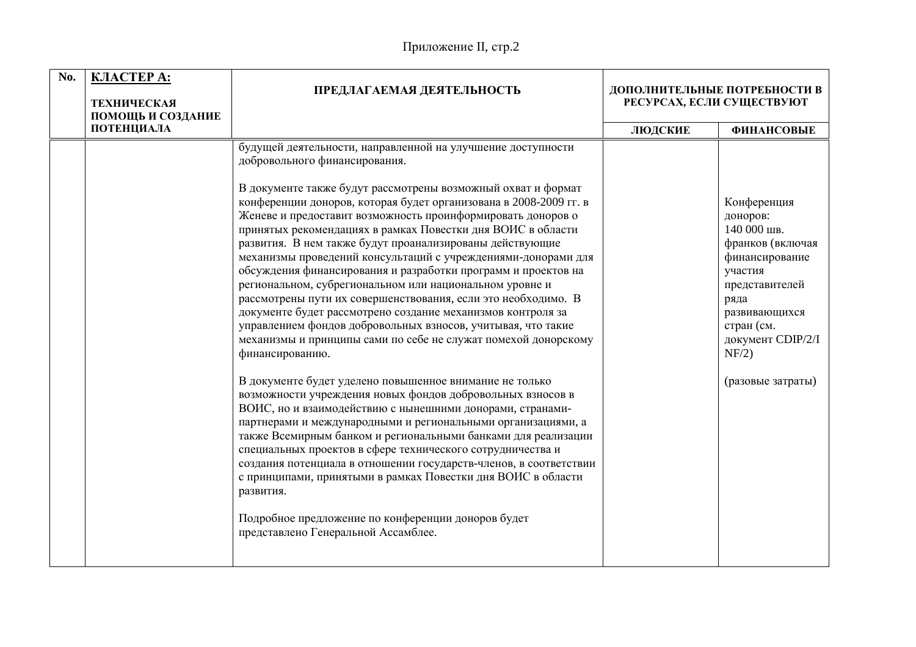| No. | <b>KJIACTEP A:</b><br><b>ТЕХНИЧЕСКАЯ</b><br>ПОМОЩЬ И СОЗДАНИЕ | ПРЕДЛАГАЕМАЯ ДЕЯТЕЛЬНОСТЬ                                                                                                                                                                                                                                                                                                                                                                                                                                                                                                                                                                                                                                                                                                                                                                                                                                                                                                                                                                                                                                                                                                                                                                                                                                                                                                                                                                                                                                                                                                                         | ДОПОЛНИТЕЛЬНЫЕ ПОТРЕБНОСТИ В<br>РЕСУРСАХ, ЕСЛИ СУЩЕСТВУЮТ |                                                                                                                                                                                                     |
|-----|---------------------------------------------------------------|---------------------------------------------------------------------------------------------------------------------------------------------------------------------------------------------------------------------------------------------------------------------------------------------------------------------------------------------------------------------------------------------------------------------------------------------------------------------------------------------------------------------------------------------------------------------------------------------------------------------------------------------------------------------------------------------------------------------------------------------------------------------------------------------------------------------------------------------------------------------------------------------------------------------------------------------------------------------------------------------------------------------------------------------------------------------------------------------------------------------------------------------------------------------------------------------------------------------------------------------------------------------------------------------------------------------------------------------------------------------------------------------------------------------------------------------------------------------------------------------------------------------------------------------------|-----------------------------------------------------------|-----------------------------------------------------------------------------------------------------------------------------------------------------------------------------------------------------|
|     | ПОТЕНЦИАЛА                                                    |                                                                                                                                                                                                                                                                                                                                                                                                                                                                                                                                                                                                                                                                                                                                                                                                                                                                                                                                                                                                                                                                                                                                                                                                                                                                                                                                                                                                                                                                                                                                                   | ЛЮДСКИЕ                                                   | <b>ФИНАНСОВЫЕ</b>                                                                                                                                                                                   |
|     |                                                               | будущей деятельности, направленной на улучшение доступности<br>добровольного финансирования.<br>В документе также будут рассмотрены возможный охват и формат<br>конференции доноров, которая будет организована в 2008-2009 гг. в<br>Женеве и предоставит возможность проинформировать доноров о<br>принятых рекомендациях в рамках Повестки дня ВОИС в области<br>развития. В нем также будут проанализированы действующие<br>механизмы проведений консультаций с учреждениями-донорами для<br>обсуждения финансирования и разработки программ и проектов на<br>региональном, субрегиональном или национальном уровне и<br>рассмотрены пути их совершенствования, если это необходимо. В<br>документе будет рассмотрено создание механизмов контроля за<br>управлением фондов добровольных взносов, учитывая, что такие<br>механизмы и принципы сами по себе не служат помехой донорскому<br>финансированию.<br>В документе будет уделено повышенное внимание не только<br>возможности учреждения новых фондов добровольных взносов в<br>ВОИС, но и взаимодействию с нынешними донорами, странами-<br>партнерами и международными и региональными организациями, а<br>также Всемирным банком и региональными банками для реализации<br>специальных проектов в сфере технического сотрудничества и<br>создания потенциала в отношении государств-членов, в соответствии<br>с принципами, принятыми в рамках Повестки дня ВОИС в области<br>развития.<br>Подробное предложение по конференции доноров будет<br>представлено Генеральной Ассамблее. |                                                           | Конференция<br>доноров:<br>140 000 шв.<br>франков (включая<br>финансирование<br>участия<br>представителей<br>ряда<br>развивающихся<br>стран (см.<br>документ CDIP/2/I<br>NF/2)<br>(разовые затраты) |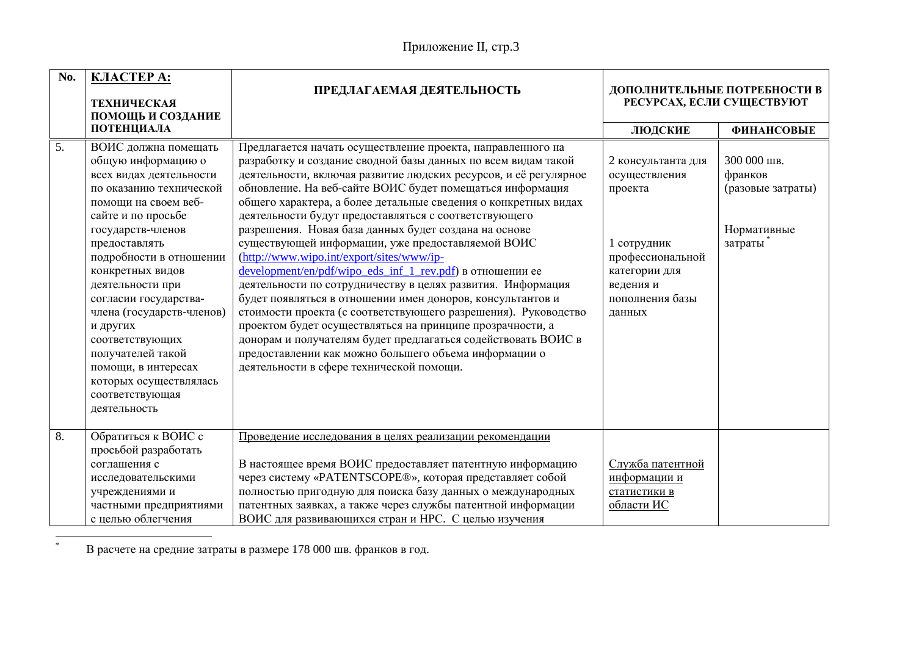| No. | <b>KJIACTEP A:</b>                                                                                                                                                                                                                                                                                  |                                                                                                                                                                                                                                                                                                                                                                                                                                                                                                                                                                                                                                                        |                                                                                            |                                             |
|-----|-----------------------------------------------------------------------------------------------------------------------------------------------------------------------------------------------------------------------------------------------------------------------------------------------------|--------------------------------------------------------------------------------------------------------------------------------------------------------------------------------------------------------------------------------------------------------------------------------------------------------------------------------------------------------------------------------------------------------------------------------------------------------------------------------------------------------------------------------------------------------------------------------------------------------------------------------------------------------|--------------------------------------------------------------------------------------------|---------------------------------------------|
|     | <b>ТЕХНИЧЕСКАЯ</b>                                                                                                                                                                                                                                                                                  | ПРЕДЛАГАЕМАЯ ДЕЯТЕЛЬНОСТЬ                                                                                                                                                                                                                                                                                                                                                                                                                                                                                                                                                                                                                              | ДОПОЛНИТЕЛЬНЫЕ ПОТРЕБНОСТИ В<br>РЕСУРСАХ, ЕСЛИ СУЩЕСТВУЮТ                                  |                                             |
|     | ПОМОЩЬ И СОЗДАНИЕ                                                                                                                                                                                                                                                                                   |                                                                                                                                                                                                                                                                                                                                                                                                                                                                                                                                                                                                                                                        |                                                                                            |                                             |
|     | ПОТЕНЦИАЛА                                                                                                                                                                                                                                                                                          |                                                                                                                                                                                                                                                                                                                                                                                                                                                                                                                                                                                                                                                        | ЛЮДСКИЕ                                                                                    | <b>ФИНАНСОВЫЕ</b>                           |
| 5.  | ВОИС должна помещать<br>общую информацию о<br>всех видах деятельности<br>по оказанию технической<br>помощи на своем веб-<br>сайте и по просьбе                                                                                                                                                      | Предлагается начать осуществление проекта, направленного на<br>разработку и создание сводной базы данных по всем видам такой<br>деятельности, включая развитие людских ресурсов, и её регулярное<br>обновление. На веб-сайте ВОИС будет помещаться информация<br>общего характера, а более детальные сведения о конкретных видах<br>деятельности будут предоставляться с соответствующего                                                                                                                                                                                                                                                              | 2 консультанта для<br>осуществления<br>проекта                                             | 300 000 шв.<br>франков<br>(разовые затраты) |
|     | государств-членов<br>предоставлять<br>подробности в отношении<br>конкретных видов<br>деятельности при<br>согласии государства-<br>члена (государств-членов)<br>и других<br>соответствующих<br>получателей такой<br>помощи, в интересах<br>которых осуществлялась<br>соответствующая<br>деятельность | разрешения. Новая база данных будет создана на основе<br>существующей информации, уже предоставляемой ВОИС<br>(http://www.wipo.int/export/sites/www/ip-<br>development/en/pdf/wipo_eds_inf_1_rev.pdf) в отношении ее<br>деятельности по сотрудничеству в целях развития. Информация<br>будет появляться в отношении имен доноров, консультантов и<br>стоимости проекта (с соответствующего разрешения). Руководство<br>проектом будет осуществляться на принципе прозрачности, а<br>донорам и получателям будет предлагаться содействовать ВОИС в<br>предоставлении как можно большего объема информации о<br>деятельности в сфере технической помощи. | 1 сотрудник<br>профессиональной<br>категории для<br>ведения и<br>пополнения базы<br>данных | Нормативные<br>затраты                      |
| 8.  | Обратиться к ВОИС с<br>просьбой разработать<br>соглашения с<br>исследовательскими<br>учреждениями и<br>частными предприятиями<br>с целью облегчения                                                                                                                                                 | Проведение исследования в целях реализации рекомендации<br>В настоящее время ВОИС предоставляет патентную информацию<br>через систему «PATENTSCOPE®», которая представляет собой<br>полностью пригодную для поиска базу данных о международных<br>патентных заявках, а также через службы патентной информации<br>ВОИС для развивающихся стран и НРС. С целью изучения                                                                                                                                                                                                                                                                                 | Служба патентной<br>информации и<br>статистики в<br>области ИС                             |                                             |

 $\ast$ В расчете на средние затраты в размере 178 000 шв. франков в год.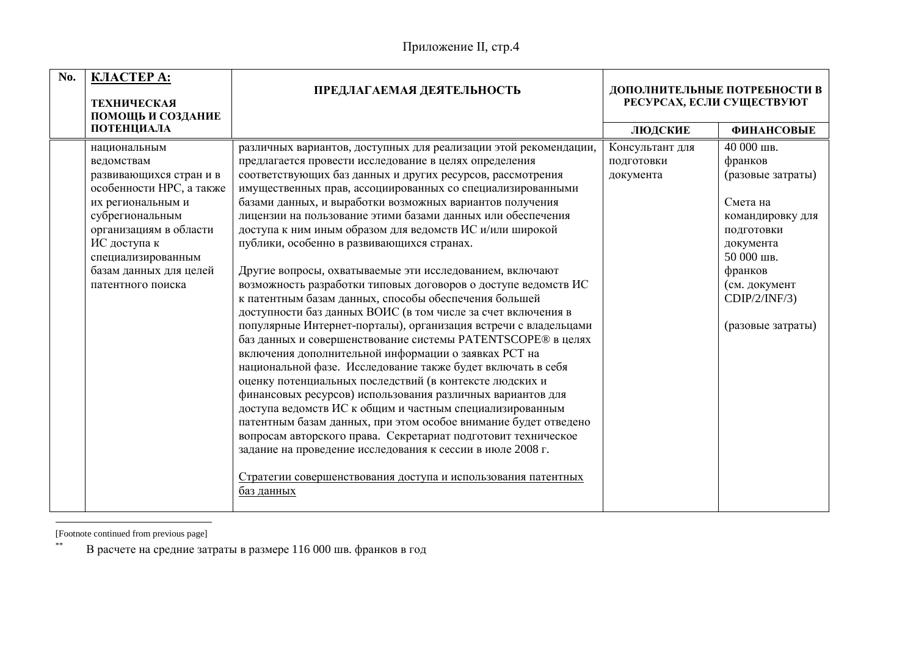| No. | <b>KJIACTEP A:</b><br><b>ТЕХНИЧЕСКАЯ</b><br>ПОМОЩЬ И СОЗДАНИЕ                                                                                                                                                                            | ПРЕДЛАГАЕМАЯ ДЕЯТЕЛЬНОСТЬ                                                                                                                                                                                                                                                                                                                                                                                                                                                                                                                                                                                                                                                                                                                                                                                                                                                                                                                                                                                                                                                                                                                                                                                                                                                                                                                                                                                                                                                                | ДОПОЛНИТЕЛЬНЫЕ ПОТРЕБНОСТИ В<br>РЕСУРСАХ, ЕСЛИ СУЩЕСТВУЮТ |                                                                                                                                                                                       |
|-----|------------------------------------------------------------------------------------------------------------------------------------------------------------------------------------------------------------------------------------------|------------------------------------------------------------------------------------------------------------------------------------------------------------------------------------------------------------------------------------------------------------------------------------------------------------------------------------------------------------------------------------------------------------------------------------------------------------------------------------------------------------------------------------------------------------------------------------------------------------------------------------------------------------------------------------------------------------------------------------------------------------------------------------------------------------------------------------------------------------------------------------------------------------------------------------------------------------------------------------------------------------------------------------------------------------------------------------------------------------------------------------------------------------------------------------------------------------------------------------------------------------------------------------------------------------------------------------------------------------------------------------------------------------------------------------------------------------------------------------------|-----------------------------------------------------------|---------------------------------------------------------------------------------------------------------------------------------------------------------------------------------------|
|     | ПОТЕНЦИАЛА                                                                                                                                                                                                                               |                                                                                                                                                                                                                                                                                                                                                                                                                                                                                                                                                                                                                                                                                                                                                                                                                                                                                                                                                                                                                                                                                                                                                                                                                                                                                                                                                                                                                                                                                          | ЛЮДСКИЕ                                                   | <b>ФИНАНСОВЫЕ</b>                                                                                                                                                                     |
|     | национальным<br>ведомствам<br>развивающихся стран и в<br>особенности НРС, а также<br>их региональным и<br>субрегиональным<br>организациям в области<br>ИС доступа к<br>специализированным<br>базам данных для целей<br>патентного поиска | различных вариантов, доступных для реализации этой рекомендации,<br>предлагается провести исследование в целях определения<br>соответствующих баз данных и других ресурсов, рассмотрения<br>имущественных прав, ассоциированных со специализированными<br>базами данных, и выработки возможных вариантов получения<br>лицензии на пользование этими базами данных или обеспечения<br>доступа к ним иным образом для ведомств ИС и/или широкой<br>публики, особенно в развивающихся странах.<br>Другие вопросы, охватываемые эти исследованием, включают<br>возможность разработки типовых договоров о доступе ведомств ИС<br>к патентным базам данных, способы обеспечения большей<br>доступности баз данных ВОИС (в том числе за счет включения в<br>популярные Интернет-порталы), организация встречи с владельцами<br>баз данных и совершенствование системы PATENTSCOPE® в целях<br>включения дополнительной информации о заявках РСТ на<br>национальной фазе. Исследование также будет включать в себя<br>оценку потенциальных последствий (в контексте людских и<br>финансовых ресурсов) использования различных вариантов для<br>доступа ведомств ИС к общим и частным специализированным<br>патентным базам данных, при этом особое внимание будет отведено<br>вопросам авторского права. Секретариат подготовит техническое<br>задание на проведение исследования к сессии в июле 2008 г.<br>Стратегии совершенствования доступа и использования патентных<br><u>баз данных</u> | Консультант для<br>подготовки<br>документа                | 40 000 шв.<br>франков<br>(разовые затраты)<br>Смета на<br>командировку для<br>подготовки<br>документа<br>50 000 шв.<br>франков<br>(см. документ<br>CDIP/2/INF/3)<br>(разовые затраты) |

[Footnote continued from previous page]  $\ast\ast$ 

В расчете на средние затраты в размере 116 000 шв. франков в год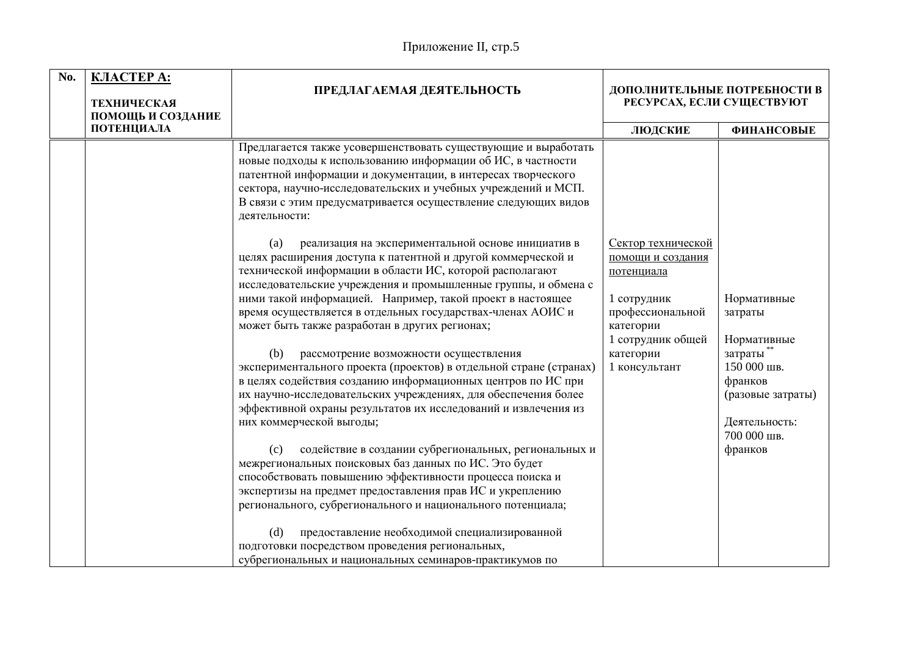| No. | <b>KJIACTEP A:</b><br><b>ТЕХНИЧЕСКАЯ</b><br>ПОМОЩЬ И СОЗДАНИЕ | ПРЕДЛАГАЕМАЯ ДЕЯТЕЛЬНОСТЬ                                                                                                                                                                                                                                                                                                                                                                                                                                                                                                                                                                                                                                        | ДОПОЛНИТЕЛЬНЫЕ ПОТРЕБНОСТИ В<br>РЕСУРСАХ, ЕСЛИ СУЩЕСТВУЮТ                                                     |                                                                                                                                   |
|-----|---------------------------------------------------------------|------------------------------------------------------------------------------------------------------------------------------------------------------------------------------------------------------------------------------------------------------------------------------------------------------------------------------------------------------------------------------------------------------------------------------------------------------------------------------------------------------------------------------------------------------------------------------------------------------------------------------------------------------------------|---------------------------------------------------------------------------------------------------------------|-----------------------------------------------------------------------------------------------------------------------------------|
|     | ПОТЕНЦИАЛА                                                    |                                                                                                                                                                                                                                                                                                                                                                                                                                                                                                                                                                                                                                                                  | ЛЮДСКИЕ                                                                                                       | <b>ФИНАНСОВЫЕ</b>                                                                                                                 |
|     |                                                               | Предлагается также усовершенствовать существующие и выработать<br>новые подходы к использованию информации об ИС, в частности<br>патентной информации и документации, в интересах творческого<br>сектора, научно-исследовательских и учебных учреждений и МСП.<br>В связи с этим предусматривается осуществление следующих видов<br>деятельности:<br>реализация на экспериментальной основе инициатив в<br>(a)<br>целях расширения доступа к патентной и другой коммерческой и                                                                                                                                                                                   | Сектор технической<br>помощи и создания                                                                       |                                                                                                                                   |
|     |                                                               | технической информации в области ИС, которой располагают<br>исследовательские учреждения и промышленные группы, и обмена с<br>ними такой информацией. Например, такой проект в настоящее<br>время осуществляется в отдельных государствах-членах АОИС и<br>может быть также разработан в других регионах;<br>(b)<br>рассмотрение возможности осуществления<br>экспериментального проекта (проектов) в отдельной стране (странах)<br>в целях содействия созданию информационных центров по ИС при<br>их научно-исследовательских учреждениях, для обеспечения более<br>эффективной охраны результатов их исследований и извлечения из<br>них коммерческой выгоды; | потенциала<br>1 сотрудник<br>профессиональной<br>категории<br>1 сотрудник общей<br>категории<br>1 консультант | Нормативные<br>затраты<br>Нормативные<br>затраты**<br>150 000 шв.<br>франков<br>(разовые затраты)<br>Деятельность:<br>700 000 шв. |
|     |                                                               | содействие в создании субрегиональных, региональных и<br>(c)<br>межрегиональных поисковых баз данных по ИС. Это будет<br>способствовать повышению эффективности процесса поиска и<br>экспертизы на предмет предоставления прав ИС и укреплению<br>регионального, субрегионального и национального потенциала;<br>предоставление необходимой специализированной<br>(d)<br>подготовки посредством проведения региональных,<br>субрегиональных и национальных семинаров-практикумов по                                                                                                                                                                              |                                                                                                               | франков                                                                                                                           |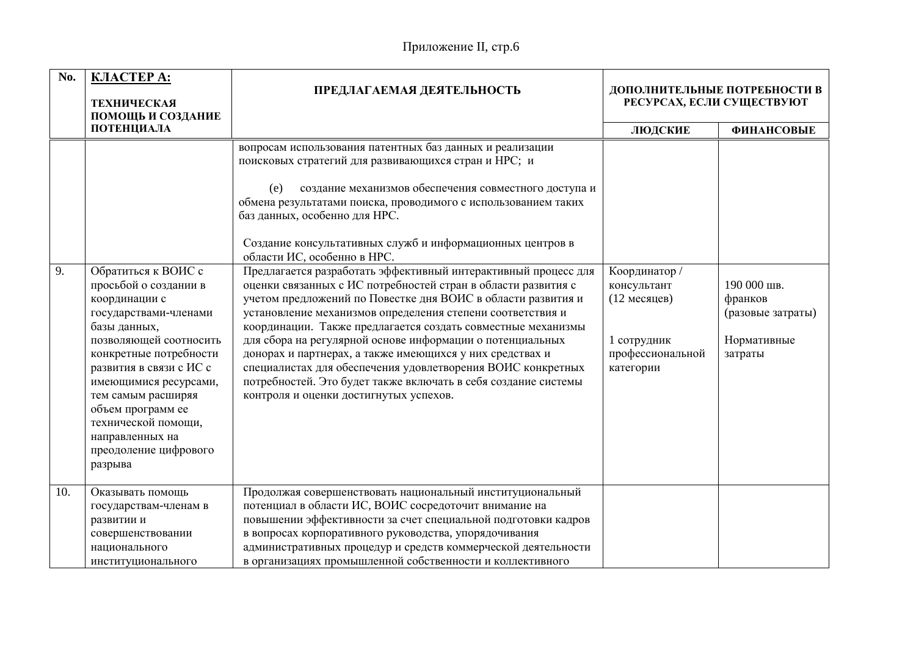| No. | КЛАСТЕРА:<br><b>ТЕХНИЧЕСКАЯ</b><br>ПОМОЩЬ И СОЗДАНИЕ                                                                                                                                                                                                                                                             | ПРЕДЛАГАЕМАЯ ДЕЯТЕЛЬНОСТЬ                                                                                                                                                                                                                                                                                                                                                                                                                                                                                                                                       | ДОПОЛНИТЕЛЬНЫЕ ПОТРЕБНОСТИ В<br>РЕСУРСАХ, ЕСЛИ СУЩЕСТВУЮТ                   |                                                                       |
|-----|------------------------------------------------------------------------------------------------------------------------------------------------------------------------------------------------------------------------------------------------------------------------------------------------------------------|-----------------------------------------------------------------------------------------------------------------------------------------------------------------------------------------------------------------------------------------------------------------------------------------------------------------------------------------------------------------------------------------------------------------------------------------------------------------------------------------------------------------------------------------------------------------|-----------------------------------------------------------------------------|-----------------------------------------------------------------------|
|     | ПОТЕНЦИАЛА                                                                                                                                                                                                                                                                                                       |                                                                                                                                                                                                                                                                                                                                                                                                                                                                                                                                                                 | ЛЮДСКИЕ                                                                     | <b>ФИНАНСОВЫЕ</b>                                                     |
| 9.  | Обратиться к ВОИС с                                                                                                                                                                                                                                                                                              | вопросам использования патентных баз данных и реализации<br>поисковых стратегий для развивающихся стран и НРС; и<br>создание механизмов обеспечения совместного доступа и<br>(e)<br>обмена результатами поиска, проводимого с использованием таких<br>баз данных, особенно для НРС.<br>Создание консультативных служб и информационных центров в<br>области ИС, особенно в НРС.<br>Предлагается разработать эффективный интерактивный процесс для                                                                                                               | Координатор /                                                               |                                                                       |
|     | просьбой о создании в<br>координации с<br>государствами-членами<br>базы данных,<br>позволяющей соотносить<br>конкретные потребности<br>развития в связи с ИС с<br>имеющимися ресурсами,<br>тем самым расширяя<br>объем программ ее<br>технической помощи,<br>направленных на<br>преодоление цифрового<br>разрыва | оценки связанных с ИС потребностей стран в области развития с<br>учетом предложений по Повестке дня ВОИС в области развития и<br>установление механизмов определения степени соответствия и<br>координации. Также предлагается создать совместные механизмы<br>для сбора на регулярной основе информации о потенциальных<br>донорах и партнерах, а также имеющихся у них средствах и<br>специалистах для обеспечения удовлетворения ВОИС конкретных<br>потребностей. Это будет также включать в себя создание системы<br>контроля и оценки достигнутых успехов. | консультант<br>(12 месяцев)<br>1 сотрудник<br>профессиональной<br>категории | 190 000 шв.<br>франков<br>(разовые затраты)<br>Нормативные<br>затраты |
| 10. | Оказывать помощь<br>государствам-членам в<br>развитии и<br>совершенствовании<br>национального<br>институционального                                                                                                                                                                                              | Продолжая совершенствовать национальный институциональный<br>потенциал в области ИС, ВОИС сосредоточит внимание на<br>повышении эффективности за счет специальной подготовки кадров<br>в вопросах корпоративного руководства, упорядочивания<br>административных процедур и средств коммерческой деятельности<br>в организациях промышленной собственности и коллективного                                                                                                                                                                                      |                                                                             |                                                                       |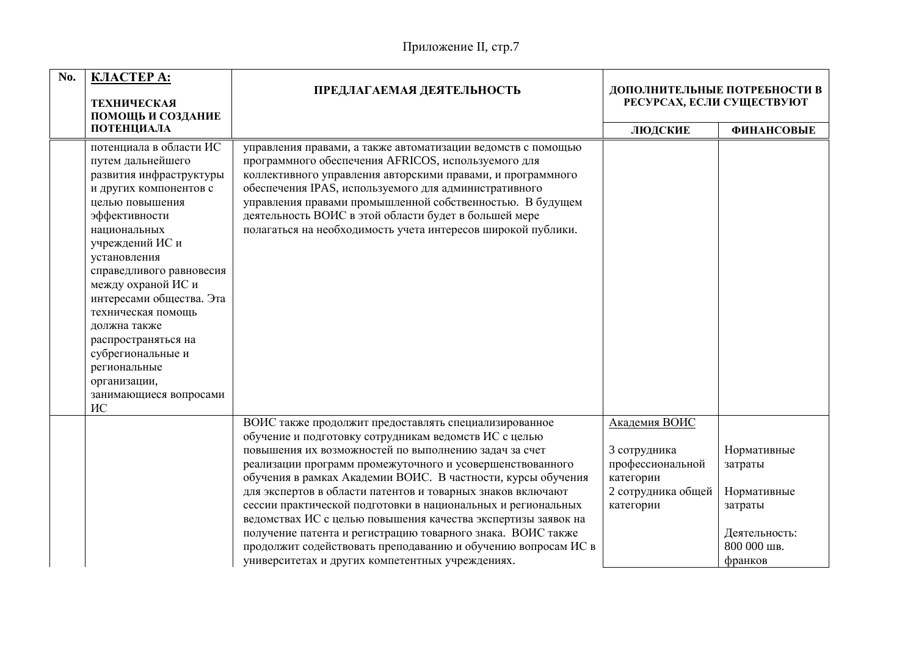| No. | КЛАСТЕРА:<br><b>ТЕХНИЧЕСКАЯ</b><br>ПОМОЩЬ И СОЗДАНИЕ                                                                                                                                                                                                                                                                                                                                                                     | ПРЕДЛАГАЕМАЯ ДЕЯТЕЛЬНОСТЬ                                                                                                                                                                                                                                                                                                                                                                                                                                                                                                                                                                                                                                                                | ДОПОЛНИТЕЛЬНЫЕ ПОТРЕБНОСТИ В<br>РЕСУРСАХ, ЕСЛИ СУЩЕСТВУЮТ                                         |                                                                                             |
|-----|--------------------------------------------------------------------------------------------------------------------------------------------------------------------------------------------------------------------------------------------------------------------------------------------------------------------------------------------------------------------------------------------------------------------------|------------------------------------------------------------------------------------------------------------------------------------------------------------------------------------------------------------------------------------------------------------------------------------------------------------------------------------------------------------------------------------------------------------------------------------------------------------------------------------------------------------------------------------------------------------------------------------------------------------------------------------------------------------------------------------------|---------------------------------------------------------------------------------------------------|---------------------------------------------------------------------------------------------|
|     | ПОТЕНЦИАЛА                                                                                                                                                                                                                                                                                                                                                                                                               |                                                                                                                                                                                                                                                                                                                                                                                                                                                                                                                                                                                                                                                                                          | ЛЮДСКИЕ                                                                                           | <b>ФИНАНСОВЫЕ</b>                                                                           |
|     | потенциала в области ИС<br>путем дальнейшего<br>развития инфраструктуры<br>и других компонентов с<br>целью повышения<br>эффективности<br>национальных<br>учреждений ИС и<br>установления<br>справедливого равновесия<br>между охраной ИС и<br>интересами общества. Эта<br>техническая помощь<br>должна также<br>распространяться на<br>субрегиональные и<br>региональные<br>организации,<br>занимающиеся вопросами<br>ИС | управления правами, а также автоматизации ведомств с помощью<br>программного обеспечения AFRICOS, используемого для<br>коллективного управления авторскими правами, и программного<br>обеспечения IPAS, используемого для административного<br>управления правами промышленной собственностью. В будущем<br>деятельность ВОИС в этой области будет в большей мере<br>полагаться на необходимость учета интересов широкой публики.                                                                                                                                                                                                                                                        |                                                                                                   |                                                                                             |
|     |                                                                                                                                                                                                                                                                                                                                                                                                                          | ВОИС также продолжит предоставлять специализированное<br>обучение и подготовку сотрудникам ведомств ИС с целью<br>повышения их возможностей по выполнению задач за счет<br>реализации программ промежуточного и усовершенствованного<br>обучения в рамках Академии ВОИС. В частности, курсы обучения<br>для экспертов в области патентов и товарных знаков включают<br>сессии практической подготовки в национальных и региональных<br>ведомствах ИС с целью повышения качества экспертизы заявок на<br>получение патента и регистрацию товарного знака. ВОИС также<br>продолжит содействовать преподаванию и обучению вопросам ИС в<br>университетах и других компетентных учреждениях. | Академия ВОИС<br>3 сотрудника<br>профессиональной<br>категории<br>2 сотрудника общей<br>категории | Нормативные<br>затраты<br>Нормативные<br>затраты<br>Деятельность:<br>800 000 шв.<br>франков |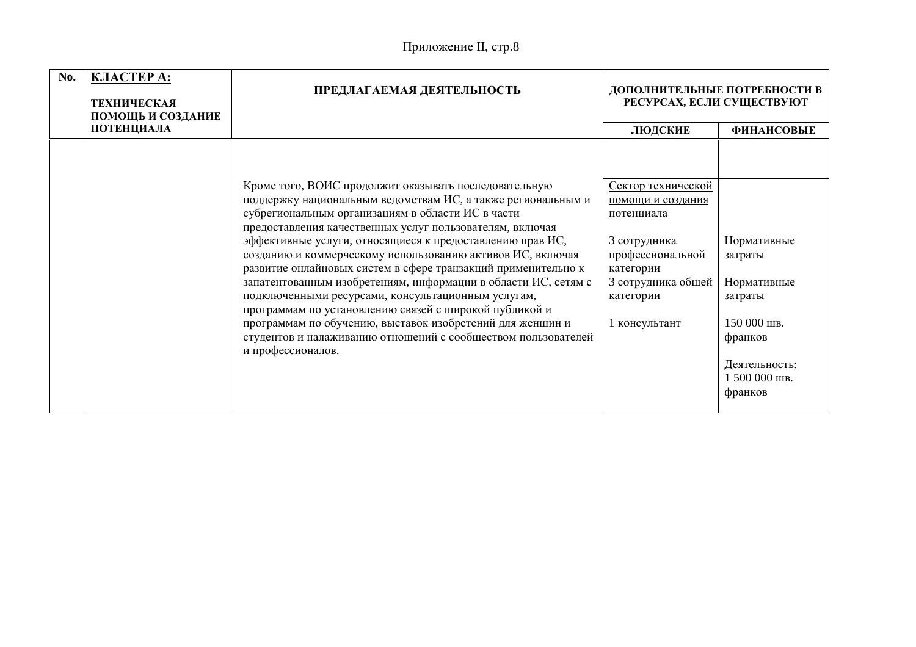## Приложение II, стр.8

| No. | <b>KJIACTEP A:</b><br><b>ТЕХНИЧЕСКАЯ</b><br>ПОМОЩЬ И СОЗДАНИЕ | ПРЕДЛАГАЕМАЯ ДЕЯТЕЛЬНОСТЬ                                                                                                                                                                                                                                                                                                                                                                                                                                                                                                                                                                 | ДОПОЛНИТЕЛЬНЫЕ ПОТРЕБНОСТИ В<br>РЕСУРСАХ, ЕСЛИ СУЩЕСТВУЮТ                                         |                                                                                                                         |
|-----|---------------------------------------------------------------|-------------------------------------------------------------------------------------------------------------------------------------------------------------------------------------------------------------------------------------------------------------------------------------------------------------------------------------------------------------------------------------------------------------------------------------------------------------------------------------------------------------------------------------------------------------------------------------------|---------------------------------------------------------------------------------------------------|-------------------------------------------------------------------------------------------------------------------------|
|     | ПОТЕНЦИАЛА                                                    |                                                                                                                                                                                                                                                                                                                                                                                                                                                                                                                                                                                           | ЛЮДСКИЕ                                                                                           | <b>ФИНАНСОВЫЕ</b>                                                                                                       |
|     |                                                               | Кроме того, ВОИС продолжит оказывать последовательную                                                                                                                                                                                                                                                                                                                                                                                                                                                                                                                                     | Сектор технической                                                                                |                                                                                                                         |
|     |                                                               | поддержку национальным ведомствам ИС, а также региональным и                                                                                                                                                                                                                                                                                                                                                                                                                                                                                                                              | помощи и создания                                                                                 |                                                                                                                         |
|     |                                                               | субрегиональным организациям в области ИС в части                                                                                                                                                                                                                                                                                                                                                                                                                                                                                                                                         | потенциала                                                                                        |                                                                                                                         |
|     |                                                               | предоставления качественных услуг пользователям, включая<br>эффективные услуги, относящиеся к предоставлению прав ИС,<br>созданию и коммерческому использованию активов ИС, включая<br>развитие онлайновых систем в сфере транзакций применительно к<br>запатентованным изобретениям, информации в области ИС, сетям с<br>подключенными ресурсами, консультационным услугам,<br>программам по установлению связей с широкой публикой и<br>программам по обучению, выставок изобретений для женщин и<br>студентов и налаживанию отношений с сообществом пользователей<br>и профессионалов. | 3 сотрудника<br>профессиональной<br>категории<br>3 сотрудника общей<br>категории<br>1 консультант | Нормативные<br>затраты<br>Нормативные<br>затраты<br>150 000 шв.<br>франков<br>Деятельность:<br>1 500 000 шв.<br>франков |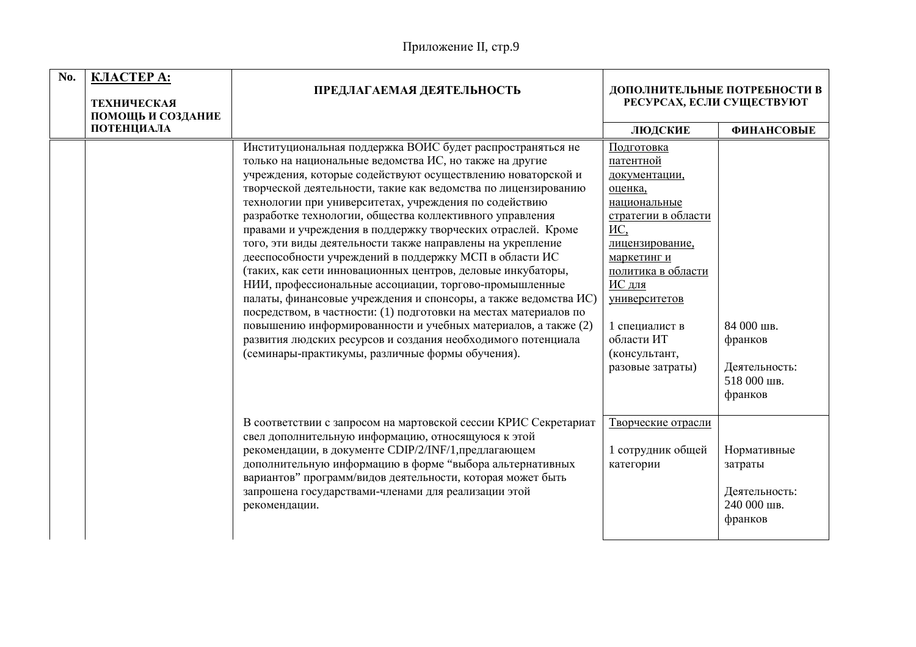| No. | КЛАСТЕРА:<br><b>ТЕХНИЧЕСКАЯ</b><br>ПОМОЩЬ И СОЗДАНИЕ | ПРЕДЛАГАЕМАЯ ДЕЯТЕЛЬНОСТЬ                                                                                                                                                                                                                                                                                                                                                                                                                                                                                                                                                                                                                                                                                                                                                                                                                                                                                                                                                                                                | ДОПОЛНИТЕЛЬНЫЕ ПОТРЕБНОСТИ В<br>РЕСУРСАХ, ЕСЛИ СУЩЕСТВУЮТ                                                                                                                                                                                                 |                                                                   |
|-----|------------------------------------------------------|--------------------------------------------------------------------------------------------------------------------------------------------------------------------------------------------------------------------------------------------------------------------------------------------------------------------------------------------------------------------------------------------------------------------------------------------------------------------------------------------------------------------------------------------------------------------------------------------------------------------------------------------------------------------------------------------------------------------------------------------------------------------------------------------------------------------------------------------------------------------------------------------------------------------------------------------------------------------------------------------------------------------------|-----------------------------------------------------------------------------------------------------------------------------------------------------------------------------------------------------------------------------------------------------------|-------------------------------------------------------------------|
|     | ПОТЕНЦИАЛА                                           |                                                                                                                                                                                                                                                                                                                                                                                                                                                                                                                                                                                                                                                                                                                                                                                                                                                                                                                                                                                                                          | ЛЮДСКИЕ                                                                                                                                                                                                                                                   | <b>ФИНАНСОВЫЕ</b>                                                 |
|     |                                                      | Институциональная поддержка ВОИС будет распространяться не<br>только на национальные ведомства ИС, но также на другие<br>учреждения, которые содействуют осуществлению новаторской и<br>творческой деятельности, такие как ведомства по лицензированию<br>технологии при университетах, учреждения по содействию<br>разработке технологии, общества коллективного управления<br>правами и учреждения в поддержку творческих отраслей. Кроме<br>того, эти виды деятельности также направлены на укрепление<br>дееспособности учреждений в поддержку МСП в области ИС<br>(таких, как сети инновационных центров, деловые инкубаторы,<br>НИИ, профессиональные ассоциации, торгово-промышленные<br>палаты, финансовые учреждения и спонсоры, а также ведомства ИС)<br>посредством, в частности: (1) подготовки на местах материалов по<br>повышению информированности и учебных материалов, а также (2)<br>развития людских ресурсов и создания необходимого потенциала<br>(семинары-практикумы, различные формы обучения). | Подготовка<br>патентной<br>документации,<br>оценка,<br>национальные<br>стратегии в области<br>ИС,<br>лицензирование,<br>маркетинг и<br>политика в области<br>ИС для<br>университетов<br>1 специалист в<br>области ИТ<br>(консультант,<br>разовые затраты) | 84 000 шв.<br>франков<br>Деятельность:<br>518 000 шв.<br>франков  |
|     |                                                      | В соответствии с запросом на мартовской сессии КРИС Секретариат<br>свел дополнительную информацию, относящуюся к этой<br>рекомендации, в документе CDIP/2/INF/1, предлагающем<br>дополнительную информацию в форме "выбора альтернативных<br>вариантов" программ/видов деятельности, которая может быть<br>запрошена государствами-членами для реализации этой<br>рекомендации.                                                                                                                                                                                                                                                                                                                                                                                                                                                                                                                                                                                                                                          | Творческие отрасли<br>1 сотрудник общей<br>категории                                                                                                                                                                                                      | Нормативные<br>затраты<br>Деятельность:<br>240 000 шв.<br>франков |